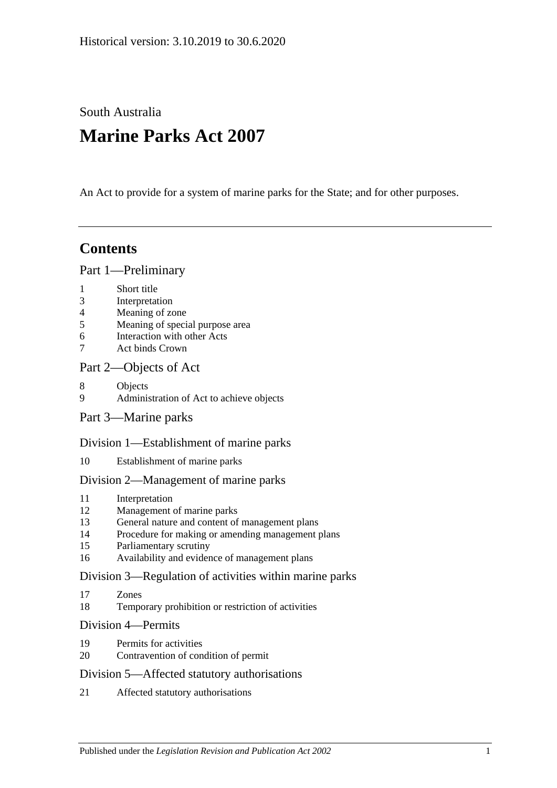South Australia

# **Marine Parks Act 2007**

An Act to provide for a system of marine parks for the State; and for other purposes.

# **Contents**

#### [Part 1—Preliminary](#page-2-0)

- 1 [Short title](#page-2-1)
- 3 [Interpretation](#page-2-2)
- 4 [Meaning of zone](#page-4-0)
- 5 [Meaning of special purpose area](#page-5-0)
- 6 [Interaction with other Acts](#page-5-1)
- 7 [Act binds Crown](#page-5-2)

#### [Part 2—Objects of Act](#page-6-0)

- 8 [Objects](#page-6-1)
- 9 [Administration of Act to achieve objects](#page-7-0)
- [Part 3—Marine parks](#page-7-1)

#### [Division 1—Establishment of marine parks](#page-7-2)

10 [Establishment of marine parks](#page-7-3)

#### [Division 2—Management of marine parks](#page-9-0)

- 11 [Interpretation](#page-9-1)
- 12 [Management of marine parks](#page-9-2)
- 13 [General nature and content of management plans](#page-9-3)
- 14 [Procedure for making or amending management plans](#page-10-0)
- 15 [Parliamentary scrutiny](#page-12-0)
- 16 [Availability and evidence of management plans](#page-12-1)

#### [Division 3—Regulation of activities within marine parks](#page-12-2)

- 17 [Zones](#page-12-3)
- 18 [Temporary prohibition or restriction of activities](#page-12-4)

#### [Division 4—Permits](#page-13-0)

- 19 [Permits for activities](#page-13-1)
- 20 [Contravention of condition of permit](#page-14-0)

#### [Division 5—Affected statutory authorisations](#page-14-1)

21 [Affected statutory authorisations](#page-14-2)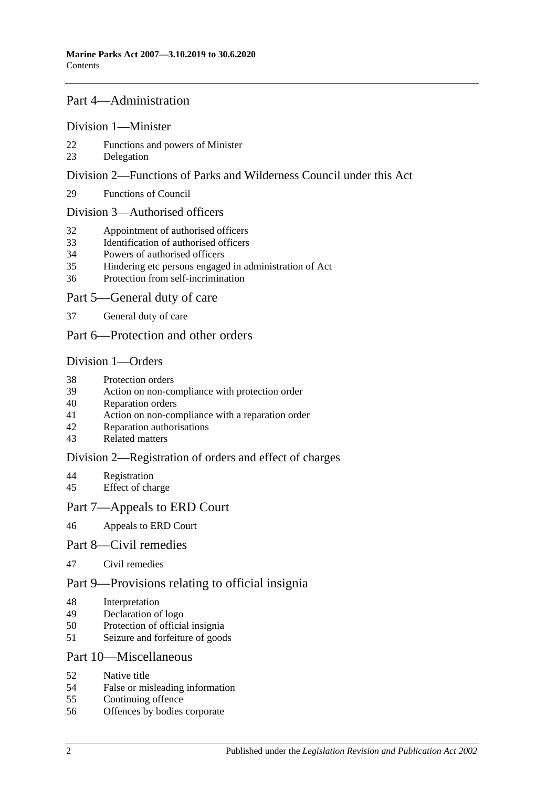#### [Part 4—Administration](#page-15-0)

#### [Division 1—Minister](#page-15-1)

- [Functions and powers of Minister](#page-15-2)
- [Delegation](#page-16-0)

#### [Division 2—Functions of Parks and Wilderness Council under this Act](#page-16-1)

[Functions of Council](#page-16-2)

#### [Division 3—Authorised officers](#page-17-0)

- [Appointment of authorised officers](#page-17-1)
- [Identification of authorised officers](#page-17-2)
- [Powers of authorised officers](#page-18-0)
- [Hindering etc persons engaged in administration of Act](#page-19-0)
- [Protection from self-incrimination](#page-20-0)

#### [Part 5—General duty of care](#page-20-1)

[General duty of care](#page-20-2)

#### [Part 6—Protection and other orders](#page-21-0)

#### [Division 1—Orders](#page-21-1)

- [Protection orders](#page-21-2)
- [Action on non-compliance with protection order](#page-22-0)
- [Reparation orders](#page-22-1)
- [Action on non-compliance with a reparation order](#page-23-0)
- [Reparation authorisations](#page-24-0)
- [Related matters](#page-25-0)

#### [Division 2—Registration of orders and effect of charges](#page-25-1)

- [Registration](#page-25-2)<br>45 Effect of cha
- [Effect of charge](#page-26-0)

#### [Part 7—Appeals to ERD Court](#page-26-1)

[Appeals to ERD Court](#page-26-2)

#### [Part 8—Civil remedies](#page-28-0)

[Civil remedies](#page-28-1)

#### [Part 9—Provisions relating to official insignia](#page-31-0)

- [Interpretation](#page-31-1)
- [Declaration of logo](#page-31-2)
- [Protection of official insignia](#page-31-3)
- [Seizure and forfeiture of goods](#page-32-0)

#### [Part 10—Miscellaneous](#page-33-0)

- [Native title](#page-33-1)
- [False or misleading information](#page-33-2)
- [Continuing offence](#page-33-3)
- [Offences by bodies corporate](#page-33-4)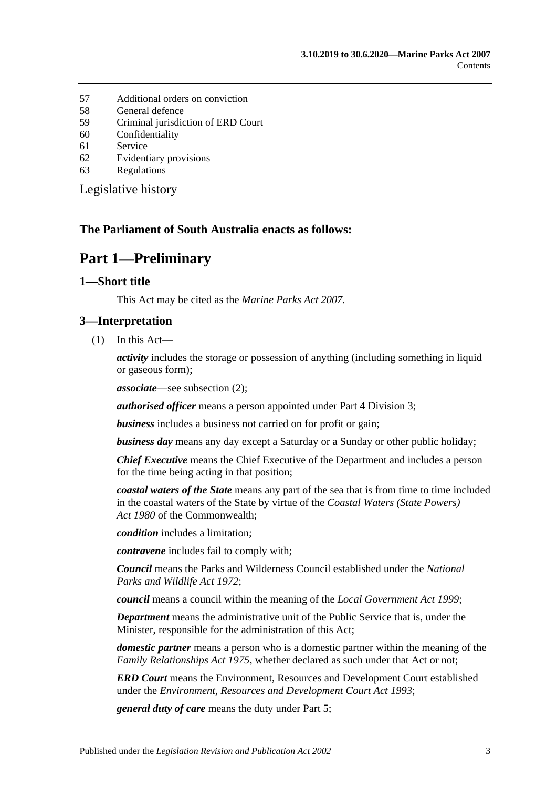- 57 [Additional orders on conviction](#page-34-0)
- 58 [General defence](#page-34-1)
- 59 [Criminal jurisdiction of ERD Court](#page-34-2)
- 60 [Confidentiality](#page-34-3)
- 61 [Service](#page-35-0)
- 62 [Evidentiary provisions](#page-35-1)
- 63 [Regulations](#page-36-0)

[Legislative history](#page-37-0)

#### <span id="page-2-0"></span>**The Parliament of South Australia enacts as follows:**

## **Part 1—Preliminary**

#### <span id="page-2-1"></span>**1—Short title**

This Act may be cited as the *Marine Parks Act 2007*.

#### <span id="page-2-2"></span>**3—Interpretation**

(1) In this Act—

*activity* includes the storage or possession of anything (including something in liquid or gaseous form);

*associate*—see [subsection](#page-3-0) (2);

*authorised officer* means a person appointed under [Part 4 Division 3;](#page-17-0)

*business* includes a business not carried on for profit or gain;

*business day* means any day except a Saturday or a Sunday or other public holiday;

*Chief Executive* means the Chief Executive of the Department and includes a person for the time being acting in that position;

*coastal waters of the State* means any part of the sea that is from time to time included in the coastal waters of the State by virtue of the *Coastal Waters (State Powers) Act 1980* of the Commonwealth;

*condition* includes a limitation;

*contravene* includes fail to comply with;

*Council* means the Parks and Wilderness Council established under the *[National](http://www.legislation.sa.gov.au/index.aspx?action=legref&type=act&legtitle=National%20Parks%20and%20Wildlife%20Act%201972)  [Parks and Wildlife Act](http://www.legislation.sa.gov.au/index.aspx?action=legref&type=act&legtitle=National%20Parks%20and%20Wildlife%20Act%201972) 1972*;

*council* means a council within the meaning of the *[Local Government Act](http://www.legislation.sa.gov.au/index.aspx?action=legref&type=act&legtitle=Local%20Government%20Act%201999) 1999*;

*Department* means the administrative unit of the Public Service that is, under the Minister, responsible for the administration of this Act;

*domestic partner* means a person who is a domestic partner within the meaning of the *[Family Relationships Act](http://www.legislation.sa.gov.au/index.aspx?action=legref&type=act&legtitle=Family%20Relationships%20Act%201975) 1975*, whether declared as such under that Act or not;

*ERD Court* means the Environment, Resources and Development Court established under the *[Environment, Resources and Development Court Act](http://www.legislation.sa.gov.au/index.aspx?action=legref&type=act&legtitle=Environment%20Resources%20and%20Development%20Court%20Act%201993) 1993*;

*general duty of care* means the duty under [Part 5;](#page-20-1)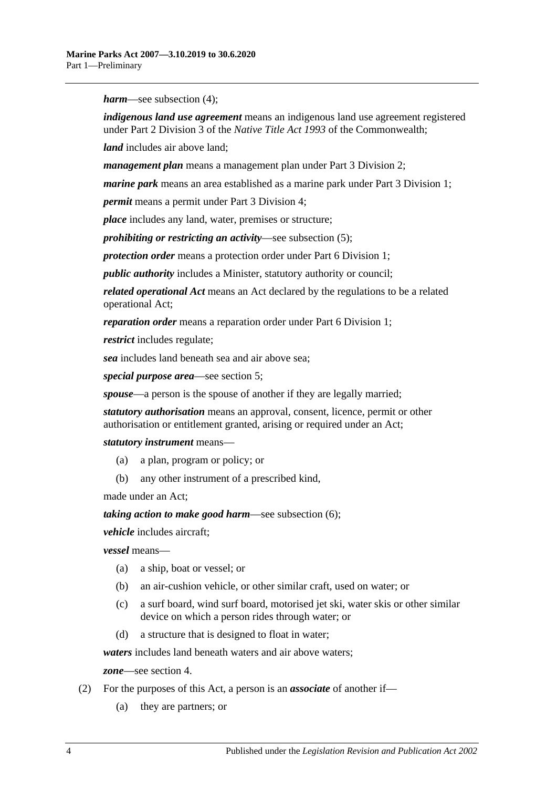*harm*—see [subsection](#page-4-1) (4);

*indigenous land use agreement* means an indigenous land use agreement registered under Part 2 Division 3 of the *Native Title Act 1993* of the Commonwealth;

*land* includes air above land;

*management plan* means a management plan under [Part 3 Division 2;](#page-9-0)

*marine park* means an area established as a marine park under [Part 3 Division 1;](#page-7-2)

*permit* means a permit under [Part 3 Division 4;](#page-13-0)

*place* includes any land, water, premises or structure;

*prohibiting or restricting an activity*—see [subsection](#page-4-2) (5);

*protection order* means a protection order under [Part 6 Division 1;](#page-21-1)

*public authority* includes a Minister, statutory authority or council;

*related operational Act* means an Act declared by the regulations to be a related operational Act;

*reparation order* means a reparation order under [Part 6 Division 1;](#page-21-1)

*restrict* includes regulate;

*sea* includes land beneath sea and air above sea;

*special purpose area*—see [section](#page-5-0) 5;

*spouse*—a person is the spouse of another if they are legally married;

*statutory authorisation* means an approval, consent, licence, permit or other authorisation or entitlement granted, arising or required under an Act;

*statutory instrument* means—

- (a) a plan, program or policy; or
- (b) any other instrument of a prescribed kind,

made under an Act;

*taking action to make good harm*—see [subsection](#page-4-3) (6);

*vehicle* includes aircraft;

*vessel* means—

- (a) a ship, boat or vessel; or
- (b) an air-cushion vehicle, or other similar craft, used on water; or
- (c) a surf board, wind surf board, motorised jet ski, water skis or other similar device on which a person rides through water; or
- (d) a structure that is designed to float in water;

*waters* includes land beneath waters and air above waters;

*zone*—see [section](#page-4-0) 4.

- <span id="page-3-0"></span>(2) For the purposes of this Act, a person is an *associate* of another if—
	- (a) they are partners; or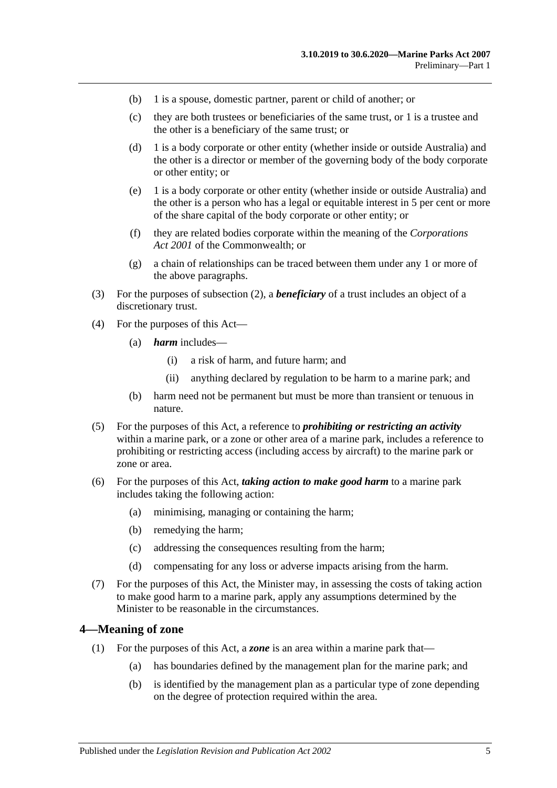- (b) 1 is a spouse, domestic partner, parent or child of another; or
- (c) they are both trustees or beneficiaries of the same trust, or 1 is a trustee and the other is a beneficiary of the same trust; or
- (d) 1 is a body corporate or other entity (whether inside or outside Australia) and the other is a director or member of the governing body of the body corporate or other entity; or
- (e) 1 is a body corporate or other entity (whether inside or outside Australia) and the other is a person who has a legal or equitable interest in 5 per cent or more of the share capital of the body corporate or other entity; or
- (f) they are related bodies corporate within the meaning of the *Corporations Act 2001* of the Commonwealth; or
- (g) a chain of relationships can be traced between them under any 1 or more of the above paragraphs.
- (3) For the purposes of [subsection](#page-3-0) (2), a *beneficiary* of a trust includes an object of a discretionary trust.
- <span id="page-4-1"></span>(4) For the purposes of this Act—
	- (a) *harm* includes—
		- (i) a risk of harm, and future harm; and
		- (ii) anything declared by regulation to be harm to a marine park; and
	- (b) harm need not be permanent but must be more than transient or tenuous in nature.
- <span id="page-4-2"></span>(5) For the purposes of this Act, a reference to *prohibiting or restricting an activity* within a marine park, or a zone or other area of a marine park, includes a reference to prohibiting or restricting access (including access by aircraft) to the marine park or zone or area.
- <span id="page-4-3"></span>(6) For the purposes of this Act, *taking action to make good harm* to a marine park includes taking the following action:
	- (a) minimising, managing or containing the harm;
	- (b) remedying the harm;
	- (c) addressing the consequences resulting from the harm;
	- (d) compensating for any loss or adverse impacts arising from the harm.
- (7) For the purposes of this Act, the Minister may, in assessing the costs of taking action to make good harm to a marine park, apply any assumptions determined by the Minister to be reasonable in the circumstances.

#### <span id="page-4-0"></span>**4—Meaning of zone**

- (1) For the purposes of this Act, a *zone* is an area within a marine park that—
	- (a) has boundaries defined by the management plan for the marine park; and
	- (b) is identified by the management plan as a particular type of zone depending on the degree of protection required within the area.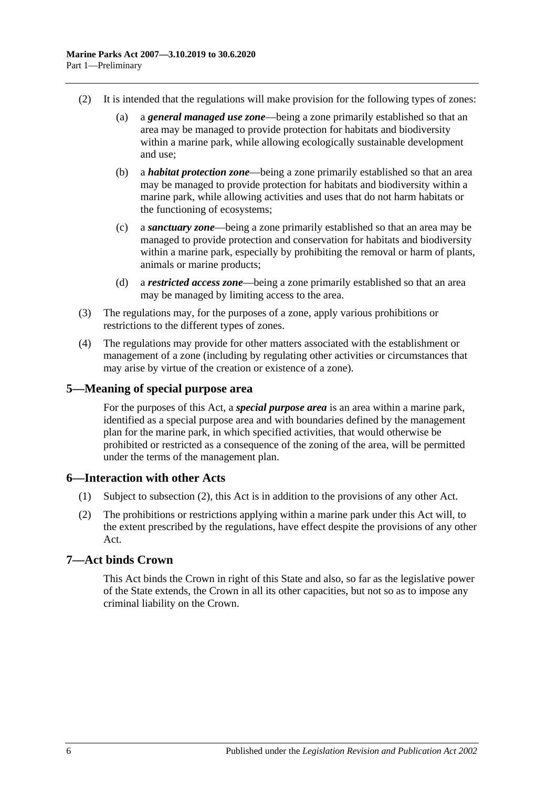- (2) It is intended that the regulations will make provision for the following types of zones:
	- (a) a *general managed use zone*—being a zone primarily established so that an area may be managed to provide protection for habitats and biodiversity within a marine park, while allowing ecologically sustainable development and use;
	- (b) a *habitat protection zone*—being a zone primarily established so that an area may be managed to provide protection for habitats and biodiversity within a marine park, while allowing activities and uses that do not harm habitats or the functioning of ecosystems;
	- (c) a *sanctuary zone*—being a zone primarily established so that an area may be managed to provide protection and conservation for habitats and biodiversity within a marine park, especially by prohibiting the removal or harm of plants, animals or marine products;
	- (d) a *restricted access zone*—being a zone primarily established so that an area may be managed by limiting access to the area.
- (3) The regulations may, for the purposes of a zone, apply various prohibitions or restrictions to the different types of zones.
- (4) The regulations may provide for other matters associated with the establishment or management of a zone (including by regulating other activities or circumstances that may arise by virtue of the creation or existence of a zone).

#### <span id="page-5-0"></span>**5—Meaning of special purpose area**

For the purposes of this Act, a *special purpose area* is an area within a marine park, identified as a special purpose area and with boundaries defined by the management plan for the marine park, in which specified activities, that would otherwise be prohibited or restricted as a consequence of the zoning of the area, will be permitted under the terms of the management plan.

#### <span id="page-5-1"></span>**6—Interaction with other Acts**

- (1) Subject to [subsection](#page-5-3) (2), this Act is in addition to the provisions of any other Act.
- <span id="page-5-3"></span>(2) The prohibitions or restrictions applying within a marine park under this Act will, to the extent prescribed by the regulations, have effect despite the provisions of any other Act.

#### <span id="page-5-2"></span>**7—Act binds Crown**

This Act binds the Crown in right of this State and also, so far as the legislative power of the State extends, the Crown in all its other capacities, but not so as to impose any criminal liability on the Crown.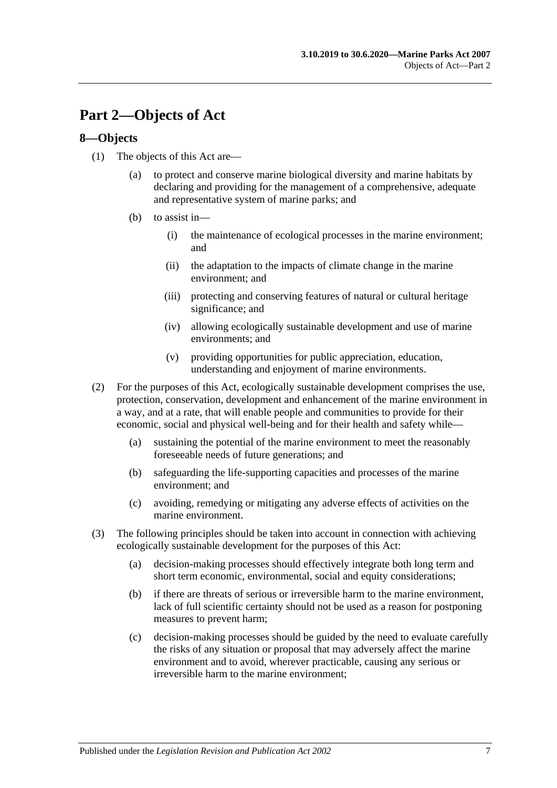# <span id="page-6-0"></span>**Part 2—Objects of Act**

#### <span id="page-6-1"></span>**8—Objects**

- (1) The objects of this Act are—
	- (a) to protect and conserve marine biological diversity and marine habitats by declaring and providing for the management of a comprehensive, adequate and representative system of marine parks; and
	- (b) to assist in—
		- (i) the maintenance of ecological processes in the marine environment; and
		- (ii) the adaptation to the impacts of climate change in the marine environment; and
		- (iii) protecting and conserving features of natural or cultural heritage significance; and
		- (iv) allowing ecologically sustainable development and use of marine environments; and
		- (v) providing opportunities for public appreciation, education, understanding and enjoyment of marine environments.
- (2) For the purposes of this Act, ecologically sustainable development comprises the use, protection, conservation, development and enhancement of the marine environment in a way, and at a rate, that will enable people and communities to provide for their economic, social and physical well-being and for their health and safety while—
	- (a) sustaining the potential of the marine environment to meet the reasonably foreseeable needs of future generations; and
	- (b) safeguarding the life-supporting capacities and processes of the marine environment; and
	- (c) avoiding, remedying or mitigating any adverse effects of activities on the marine environment.
- (3) The following principles should be taken into account in connection with achieving ecologically sustainable development for the purposes of this Act:
	- (a) decision-making processes should effectively integrate both long term and short term economic, environmental, social and equity considerations;
	- (b) if there are threats of serious or irreversible harm to the marine environment, lack of full scientific certainty should not be used as a reason for postponing measures to prevent harm;
	- (c) decision-making processes should be guided by the need to evaluate carefully the risks of any situation or proposal that may adversely affect the marine environment and to avoid, wherever practicable, causing any serious or irreversible harm to the marine environment;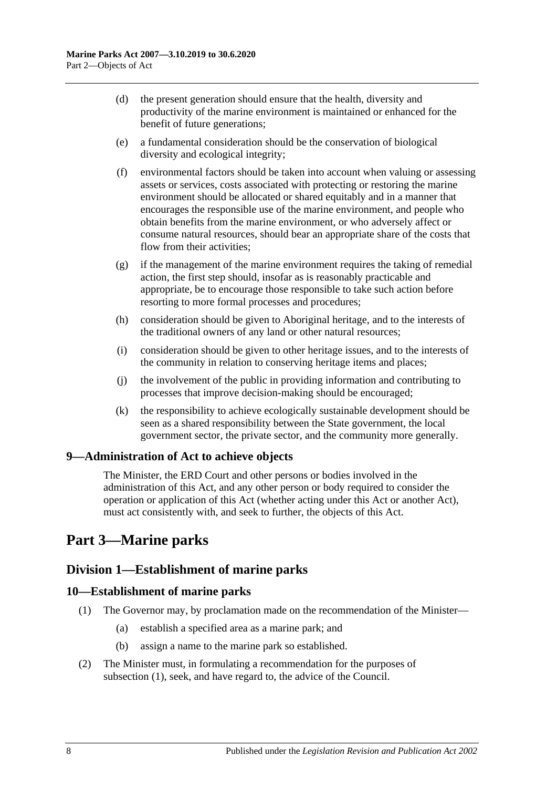- (d) the present generation should ensure that the health, diversity and productivity of the marine environment is maintained or enhanced for the benefit of future generations;
- (e) a fundamental consideration should be the conservation of biological diversity and ecological integrity;
- (f) environmental factors should be taken into account when valuing or assessing assets or services, costs associated with protecting or restoring the marine environment should be allocated or shared equitably and in a manner that encourages the responsible use of the marine environment, and people who obtain benefits from the marine environment, or who adversely affect or consume natural resources, should bear an appropriate share of the costs that flow from their activities;
- (g) if the management of the marine environment requires the taking of remedial action, the first step should, insofar as is reasonably practicable and appropriate, be to encourage those responsible to take such action before resorting to more formal processes and procedures;
- (h) consideration should be given to Aboriginal heritage, and to the interests of the traditional owners of any land or other natural resources;
- (i) consideration should be given to other heritage issues, and to the interests of the community in relation to conserving heritage items and places;
- (j) the involvement of the public in providing information and contributing to processes that improve decision-making should be encouraged;
- (k) the responsibility to achieve ecologically sustainable development should be seen as a shared responsibility between the State government, the local government sector, the private sector, and the community more generally.

#### <span id="page-7-0"></span>**9—Administration of Act to achieve objects**

The Minister, the ERD Court and other persons or bodies involved in the administration of this Act, and any other person or body required to consider the operation or application of this Act (whether acting under this Act or another Act), must act consistently with, and seek to further, the objects of this Act.

# <span id="page-7-1"></span>**Part 3—Marine parks**

#### <span id="page-7-2"></span>**Division 1—Establishment of marine parks**

#### <span id="page-7-4"></span><span id="page-7-3"></span>**10—Establishment of marine parks**

- (1) The Governor may, by proclamation made on the recommendation of the Minister—
	- (a) establish a specified area as a marine park; and
	- (b) assign a name to the marine park so established.
- (2) The Minister must, in formulating a recommendation for the purposes of [subsection](#page-7-4) (1), seek, and have regard to, the advice of the Council.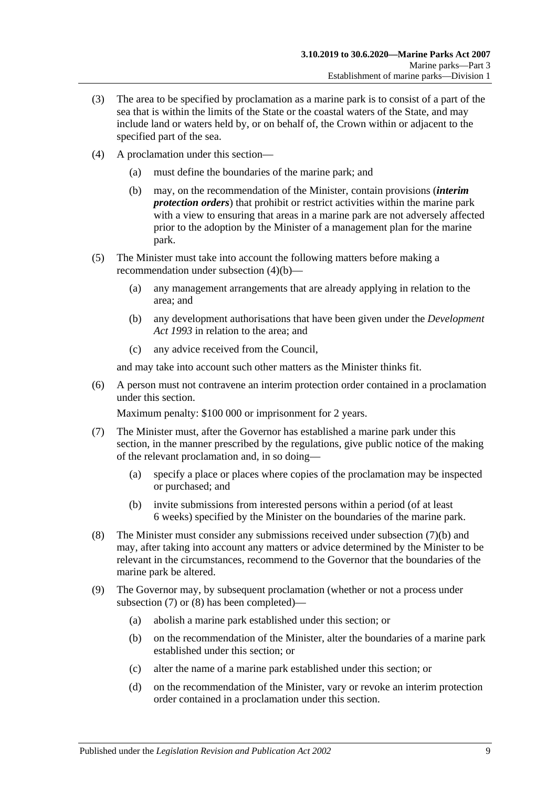- (3) The area to be specified by proclamation as a marine park is to consist of a part of the sea that is within the limits of the State or the coastal waters of the State, and may include land or waters held by, or on behalf of, the Crown within or adjacent to the specified part of the sea.
- <span id="page-8-0"></span>(4) A proclamation under this section—
	- (a) must define the boundaries of the marine park; and
	- (b) may, on the recommendation of the Minister, contain provisions (*interim protection orders*) that prohibit or restrict activities within the marine park with a view to ensuring that areas in a marine park are not adversely affected prior to the adoption by the Minister of a management plan for the marine park.
- (5) The Minister must take into account the following matters before making a recommendation under [subsection](#page-8-0) (4)(b)—
	- (a) any management arrangements that are already applying in relation to the area; and
	- (b) any development authorisations that have been given under the *[Development](http://www.legislation.sa.gov.au/index.aspx?action=legref&type=act&legtitle=Development%20Act%201993)  Act [1993](http://www.legislation.sa.gov.au/index.aspx?action=legref&type=act&legtitle=Development%20Act%201993)* in relation to the area; and
	- (c) any advice received from the Council,

and may take into account such other matters as the Minister thinks fit.

(6) A person must not contravene an interim protection order contained in a proclamation under this section.

Maximum penalty: \$100 000 or imprisonment for 2 years.

- <span id="page-8-2"></span>(7) The Minister must, after the Governor has established a marine park under this section, in the manner prescribed by the regulations, give public notice of the making of the relevant proclamation and, in so doing—
	- (a) specify a place or places where copies of the proclamation may be inspected or purchased; and
	- (b) invite submissions from interested persons within a period (of at least 6 weeks) specified by the Minister on the boundaries of the marine park.
- <span id="page-8-3"></span><span id="page-8-1"></span>(8) The Minister must consider any submissions received under [subsection](#page-8-1) (7)(b) and may, after taking into account any matters or advice determined by the Minister to be relevant in the circumstances, recommend to the Governor that the boundaries of the marine park be altered.
- <span id="page-8-7"></span><span id="page-8-6"></span><span id="page-8-5"></span><span id="page-8-4"></span>(9) The Governor may, by subsequent proclamation (whether or not a process under [subsection](#page-8-2) (7) or [\(8\)](#page-8-3) has been completed)—
	- (a) abolish a marine park established under this section; or
	- (b) on the recommendation of the Minister, alter the boundaries of a marine park established under this section; or
	- (c) alter the name of a marine park established under this section; or
	- (d) on the recommendation of the Minister, vary or revoke an interim protection order contained in a proclamation under this section.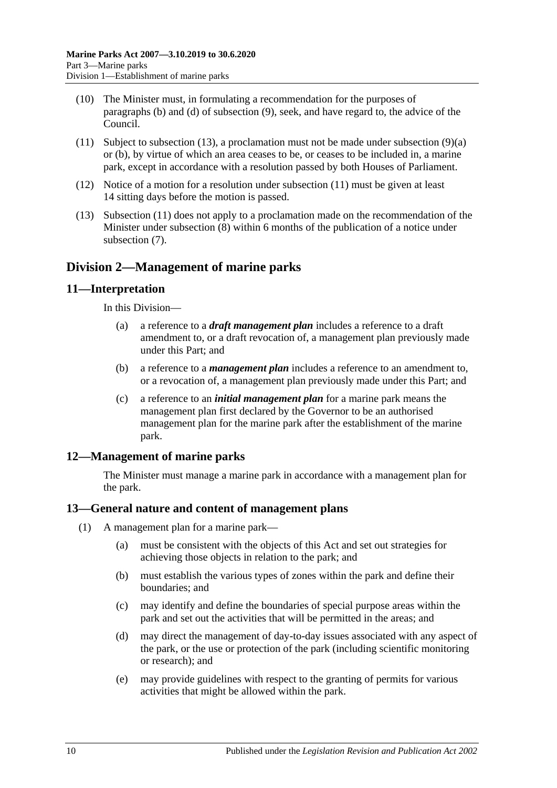- (10) The Minister must, in formulating a recommendation for the purposes of [paragraphs](#page-8-4) (b) and [\(d\)](#page-8-5) of [subsection](#page-8-6) (9), seek, and have regard to, the advice of the Council.
- <span id="page-9-5"></span>(11) Subject to [subsection](#page-9-4) (13), a proclamation must not be made under [subsection](#page-8-7) (9)(a) or [\(b\),](#page-8-4) by virtue of which an area ceases to be, or ceases to be included in, a marine park, except in accordance with a resolution passed by both Houses of Parliament.
- (12) Notice of a motion for a resolution under [subsection](#page-9-5) (11) must be given at least 14 sitting days before the motion is passed.
- <span id="page-9-4"></span>(13) [Subsection](#page-9-5) (11) does not apply to a proclamation made on the recommendation of the Minister under [subsection](#page-8-3) (8) within 6 months of the publication of a notice under [subsection](#page-8-2) (7).

### <span id="page-9-0"></span>**Division 2—Management of marine parks**

#### <span id="page-9-1"></span>**11—Interpretation**

In this Division—

- (a) a reference to a *draft management plan* includes a reference to a draft amendment to, or a draft revocation of, a management plan previously made under this Part; and
- (b) a reference to a *management plan* includes a reference to an amendment to, or a revocation of, a management plan previously made under this Part; and
- (c) a reference to an *initial management plan* for a marine park means the management plan first declared by the Governor to be an authorised management plan for the marine park after the establishment of the marine park.

#### <span id="page-9-2"></span>**12—Management of marine parks**

The Minister must manage a marine park in accordance with a management plan for the park.

#### <span id="page-9-3"></span>**13—General nature and content of management plans**

- (1) A management plan for a marine park—
	- (a) must be consistent with the objects of this Act and set out strategies for achieving those objects in relation to the park; and
	- (b) must establish the various types of zones within the park and define their boundaries; and
	- (c) may identify and define the boundaries of special purpose areas within the park and set out the activities that will be permitted in the areas; and
	- (d) may direct the management of day-to-day issues associated with any aspect of the park, or the use or protection of the park (including scientific monitoring or research); and
	- (e) may provide guidelines with respect to the granting of permits for various activities that might be allowed within the park.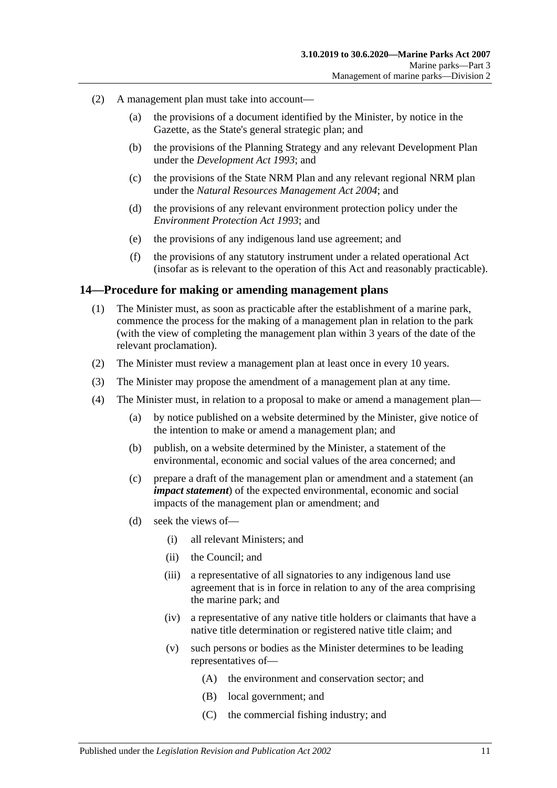- (2) A management plan must take into account—
	- (a) the provisions of a document identified by the Minister, by notice in the Gazette, as the State's general strategic plan; and
	- (b) the provisions of the Planning Strategy and any relevant Development Plan under the *[Development Act](http://www.legislation.sa.gov.au/index.aspx?action=legref&type=act&legtitle=Development%20Act%201993) 1993*; and
	- (c) the provisions of the State NRM Plan and any relevant regional NRM plan under the *[Natural Resources Management Act](http://www.legislation.sa.gov.au/index.aspx?action=legref&type=act&legtitle=Natural%20Resources%20Management%20Act%202004) 2004*; and
	- (d) the provisions of any relevant environment protection policy under the *[Environment Protection Act](http://www.legislation.sa.gov.au/index.aspx?action=legref&type=act&legtitle=Environment%20Protection%20Act%201993) 1993*; and
	- (e) the provisions of any indigenous land use agreement; and
	- (f) the provisions of any statutory instrument under a related operational Act (insofar as is relevant to the operation of this Act and reasonably practicable).

#### <span id="page-10-0"></span>**14—Procedure for making or amending management plans**

- (1) The Minister must, as soon as practicable after the establishment of a marine park, commence the process for the making of a management plan in relation to the park (with the view of completing the management plan within 3 years of the date of the relevant proclamation).
- (2) The Minister must review a management plan at least once in every 10 years.
- (3) The Minister may propose the amendment of a management plan at any time.
- (4) The Minister must, in relation to a proposal to make or amend a management plan—
	- (a) by notice published on a website determined by the Minister, give notice of the intention to make or amend a management plan; and
	- (b) publish, on a website determined by the Minister, a statement of the environmental, economic and social values of the area concerned; and
	- (c) prepare a draft of the management plan or amendment and a statement (an *impact statement*) of the expected environmental, economic and social impacts of the management plan or amendment; and
	- (d) seek the views of—
		- (i) all relevant Ministers; and
		- (ii) the Council; and
		- (iii) a representative of all signatories to any indigenous land use agreement that is in force in relation to any of the area comprising the marine park; and
		- (iv) a representative of any native title holders or claimants that have a native title determination or registered native title claim; and
		- (v) such persons or bodies as the Minister determines to be leading representatives of—
			- (A) the environment and conservation sector; and
			- (B) local government; and
			- (C) the commercial fishing industry; and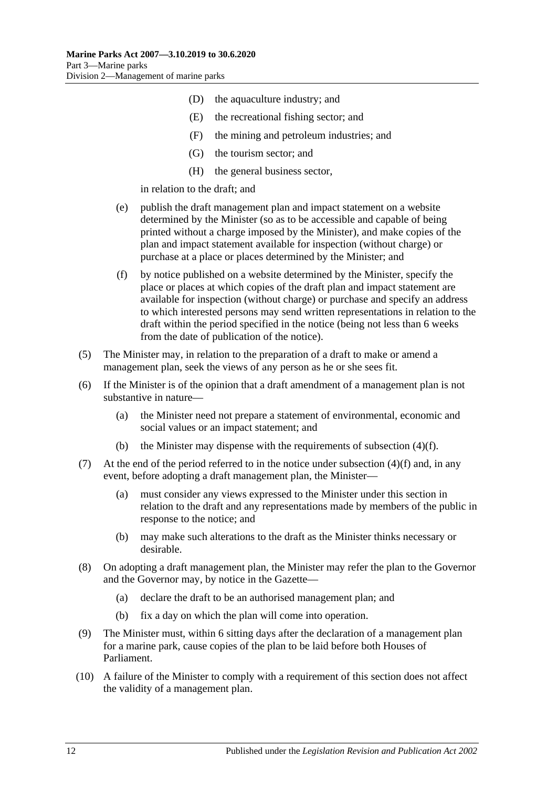- (D) the aquaculture industry; and
- (E) the recreational fishing sector; and
- (F) the mining and petroleum industries; and
- (G) the tourism sector; and
- (H) the general business sector,

in relation to the draft; and

- (e) publish the draft management plan and impact statement on a website determined by the Minister (so as to be accessible and capable of being printed without a charge imposed by the Minister), and make copies of the plan and impact statement available for inspection (without charge) or purchase at a place or places determined by the Minister; and
- <span id="page-11-0"></span>(f) by notice published on a website determined by the Minister, specify the place or places at which copies of the draft plan and impact statement are available for inspection (without charge) or purchase and specify an address to which interested persons may send written representations in relation to the draft within the period specified in the notice (being not less than 6 weeks from the date of publication of the notice).
- (5) The Minister may, in relation to the preparation of a draft to make or amend a management plan, seek the views of any person as he or she sees fit.
- (6) If the Minister is of the opinion that a draft amendment of a management plan is not substantive in nature—
	- (a) the Minister need not prepare a statement of environmental, economic and social values or an impact statement; and
	- (b) the Minister may dispense with the requirements of [subsection](#page-11-0) (4)(f).
- (7) At the end of the period referred to in the notice under [subsection](#page-11-0)  $(4)(f)$  and, in any event, before adopting a draft management plan, the Minister—
	- (a) must consider any views expressed to the Minister under this section in relation to the draft and any representations made by members of the public in response to the notice; and
	- (b) may make such alterations to the draft as the Minister thinks necessary or desirable.
- (8) On adopting a draft management plan, the Minister may refer the plan to the Governor and the Governor may, by notice in the Gazette—
	- (a) declare the draft to be an authorised management plan; and
	- (b) fix a day on which the plan will come into operation.
- (9) The Minister must, within 6 sitting days after the declaration of a management plan for a marine park, cause copies of the plan to be laid before both Houses of Parliament.
- (10) A failure of the Minister to comply with a requirement of this section does not affect the validity of a management plan.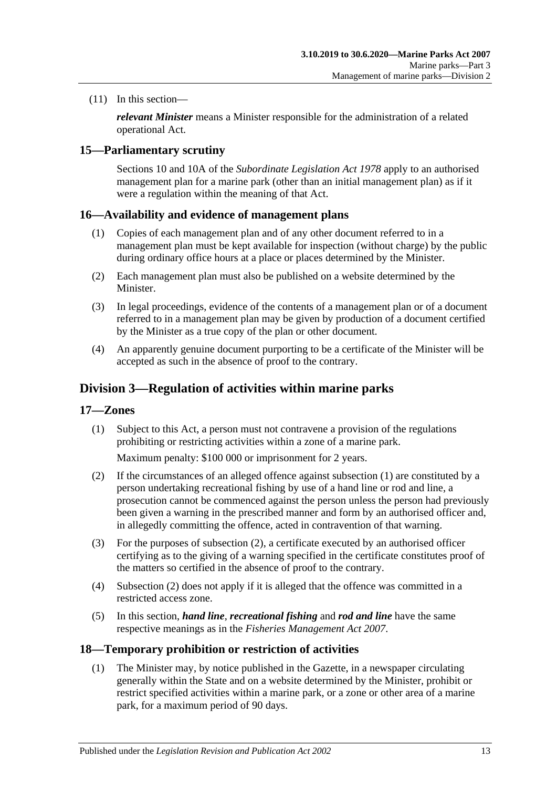(11) In this section—

*relevant Minister* means a Minister responsible for the administration of a related operational Act.

#### <span id="page-12-0"></span>**15—Parliamentary scrutiny**

Sections 10 and 10A of the *[Subordinate Legislation Act](http://www.legislation.sa.gov.au/index.aspx?action=legref&type=act&legtitle=Subordinate%20Legislation%20Act%201978) 1978* apply to an authorised management plan for a marine park (other than an initial management plan) as if it were a regulation within the meaning of that Act.

#### <span id="page-12-1"></span>**16—Availability and evidence of management plans**

- (1) Copies of each management plan and of any other document referred to in a management plan must be kept available for inspection (without charge) by the public during ordinary office hours at a place or places determined by the Minister.
- (2) Each management plan must also be published on a website determined by the Minister.
- (3) In legal proceedings, evidence of the contents of a management plan or of a document referred to in a management plan may be given by production of a document certified by the Minister as a true copy of the plan or other document.
- (4) An apparently genuine document purporting to be a certificate of the Minister will be accepted as such in the absence of proof to the contrary.

### <span id="page-12-2"></span>**Division 3—Regulation of activities within marine parks**

#### <span id="page-12-5"></span><span id="page-12-3"></span>**17—Zones**

(1) Subject to this Act, a person must not contravene a provision of the regulations prohibiting or restricting activities within a zone of a marine park.

Maximum penalty: \$100 000 or imprisonment for 2 years.

- <span id="page-12-6"></span>(2) If the circumstances of an alleged offence against [subsection](#page-12-5) (1) are constituted by a person undertaking recreational fishing by use of a hand line or rod and line, a prosecution cannot be commenced against the person unless the person had previously been given a warning in the prescribed manner and form by an authorised officer and, in allegedly committing the offence, acted in contravention of that warning.
- (3) For the purposes of [subsection](#page-12-6) (2), a certificate executed by an authorised officer certifying as to the giving of a warning specified in the certificate constitutes proof of the matters so certified in the absence of proof to the contrary.
- (4) [Subsection](#page-12-6) (2) does not apply if it is alleged that the offence was committed in a restricted access zone.
- (5) In this section, *hand line*, *recreational fishing* and *rod and line* have the same respective meanings as in the *[Fisheries Management Act](http://www.legislation.sa.gov.au/index.aspx?action=legref&type=act&legtitle=Fisheries%20Management%20Act%202007) 2007*.

#### <span id="page-12-7"></span><span id="page-12-4"></span>**18—Temporary prohibition or restriction of activities**

(1) The Minister may, by notice published in the Gazette, in a newspaper circulating generally within the State and on a website determined by the Minister, prohibit or restrict specified activities within a marine park, or a zone or other area of a marine park, for a maximum period of 90 days.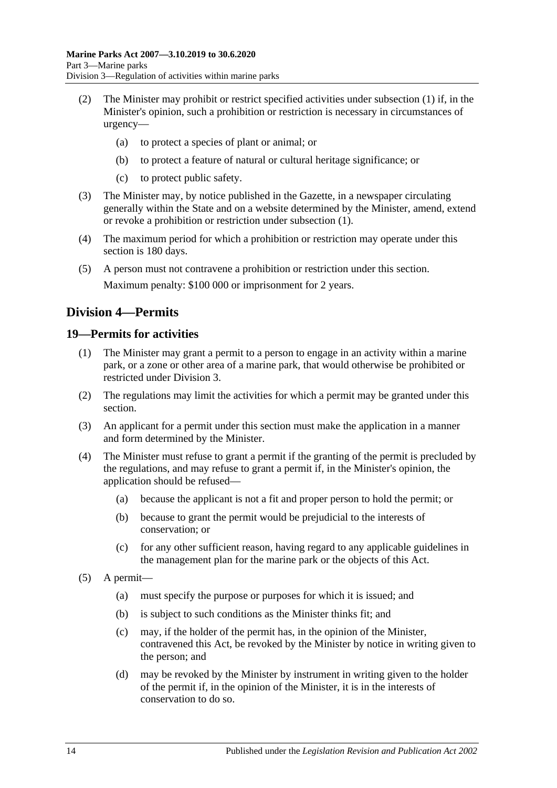- (2) The Minister may prohibit or restrict specified activities under [subsection](#page-12-7) (1) if, in the Minister's opinion, such a prohibition or restriction is necessary in circumstances of urgency—
	- (a) to protect a species of plant or animal; or
	- (b) to protect a feature of natural or cultural heritage significance; or
	- (c) to protect public safety.
- (3) The Minister may, by notice published in the Gazette, in a newspaper circulating generally within the State and on a website determined by the Minister, amend, extend or revoke a prohibition or restriction under [subsection](#page-12-7) (1).
- (4) The maximum period for which a prohibition or restriction may operate under this section is 180 days.
- (5) A person must not contravene a prohibition or restriction under this section. Maximum penalty: \$100 000 or imprisonment for 2 years.

### <span id="page-13-0"></span>**Division 4—Permits**

#### <span id="page-13-1"></span>**19—Permits for activities**

- (1) The Minister may grant a permit to a person to engage in an activity within a marine park, or a zone or other area of a marine park, that would otherwise be prohibited or restricted under [Division 3.](#page-12-2)
- (2) The regulations may limit the activities for which a permit may be granted under this section.
- (3) An applicant for a permit under this section must make the application in a manner and form determined by the Minister.
- (4) The Minister must refuse to grant a permit if the granting of the permit is precluded by the regulations, and may refuse to grant a permit if, in the Minister's opinion, the application should be refused—
	- (a) because the applicant is not a fit and proper person to hold the permit; or
	- (b) because to grant the permit would be prejudicial to the interests of conservation; or
	- (c) for any other sufficient reason, having regard to any applicable guidelines in the management plan for the marine park or the objects of this Act.
- (5) A permit—
	- (a) must specify the purpose or purposes for which it is issued; and
	- (b) is subject to such conditions as the Minister thinks fit; and
	- (c) may, if the holder of the permit has, in the opinion of the Minister, contravened this Act, be revoked by the Minister by notice in writing given to the person; and
	- (d) may be revoked by the Minister by instrument in writing given to the holder of the permit if, in the opinion of the Minister, it is in the interests of conservation to do so.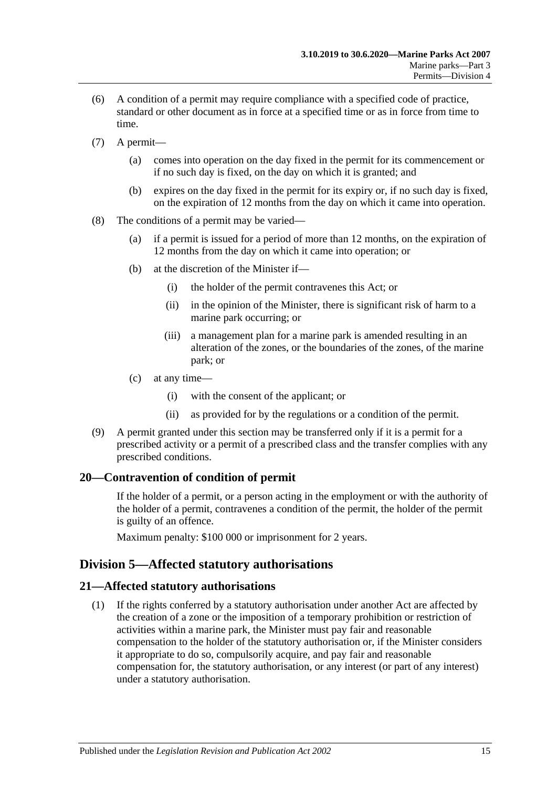- (6) A condition of a permit may require compliance with a specified code of practice, standard or other document as in force at a specified time or as in force from time to time.
- (7) A permit—
	- (a) comes into operation on the day fixed in the permit for its commencement or if no such day is fixed, on the day on which it is granted; and
	- (b) expires on the day fixed in the permit for its expiry or, if no such day is fixed, on the expiration of 12 months from the day on which it came into operation.
- (8) The conditions of a permit may be varied—
	- (a) if a permit is issued for a period of more than 12 months, on the expiration of 12 months from the day on which it came into operation; or
	- (b) at the discretion of the Minister if—
		- (i) the holder of the permit contravenes this Act; or
		- (ii) in the opinion of the Minister, there is significant risk of harm to a marine park occurring; or
		- (iii) a management plan for a marine park is amended resulting in an alteration of the zones, or the boundaries of the zones, of the marine park; or
	- (c) at any time—
		- (i) with the consent of the applicant; or
		- (ii) as provided for by the regulations or a condition of the permit.
- (9) A permit granted under this section may be transferred only if it is a permit for a prescribed activity or a permit of a prescribed class and the transfer complies with any prescribed conditions.

#### <span id="page-14-0"></span>**20—Contravention of condition of permit**

If the holder of a permit, or a person acting in the employment or with the authority of the holder of a permit, contravenes a condition of the permit, the holder of the permit is guilty of an offence.

Maximum penalty: \$100 000 or imprisonment for 2 years.

### <span id="page-14-1"></span>**Division 5—Affected statutory authorisations**

#### <span id="page-14-2"></span>**21—Affected statutory authorisations**

(1) If the rights conferred by a statutory authorisation under another Act are affected by the creation of a zone or the imposition of a temporary prohibition or restriction of activities within a marine park, the Minister must pay fair and reasonable compensation to the holder of the statutory authorisation or, if the Minister considers it appropriate to do so, compulsorily acquire, and pay fair and reasonable compensation for, the statutory authorisation, or any interest (or part of any interest) under a statutory authorisation.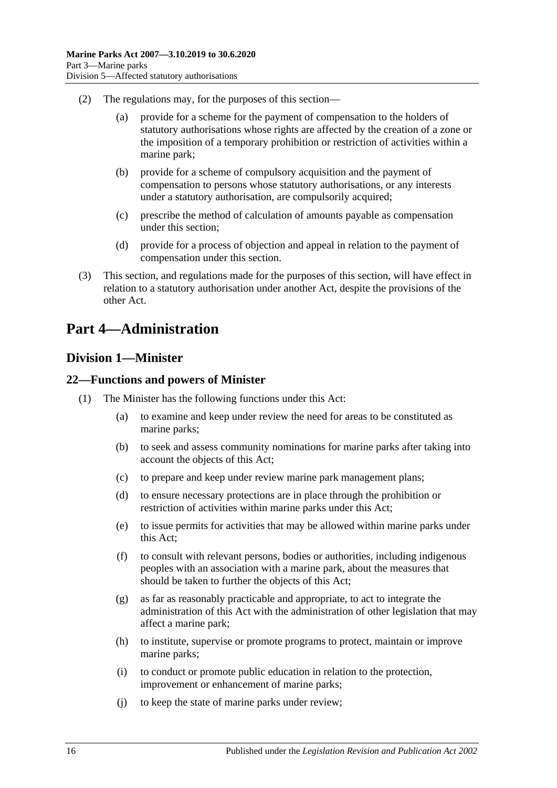- (2) The regulations may, for the purposes of this section—
	- (a) provide for a scheme for the payment of compensation to the holders of statutory authorisations whose rights are affected by the creation of a zone or the imposition of a temporary prohibition or restriction of activities within a marine park;
	- (b) provide for a scheme of compulsory acquisition and the payment of compensation to persons whose statutory authorisations, or any interests under a statutory authorisation, are compulsorily acquired;
	- (c) prescribe the method of calculation of amounts payable as compensation under this section;
	- (d) provide for a process of objection and appeal in relation to the payment of compensation under this section.
- (3) This section, and regulations made for the purposes of this section, will have effect in relation to a statutory authorisation under another Act, despite the provisions of the other Act.

## <span id="page-15-0"></span>**Part 4—Administration**

#### <span id="page-15-1"></span>**Division 1—Minister**

#### <span id="page-15-2"></span>**22—Functions and powers of Minister**

- (1) The Minister has the following functions under this Act:
	- (a) to examine and keep under review the need for areas to be constituted as marine parks;
	- (b) to seek and assess community nominations for marine parks after taking into account the objects of this Act;
	- (c) to prepare and keep under review marine park management plans;
	- (d) to ensure necessary protections are in place through the prohibition or restriction of activities within marine parks under this Act;
	- (e) to issue permits for activities that may be allowed within marine parks under this Act;
	- (f) to consult with relevant persons, bodies or authorities, including indigenous peoples with an association with a marine park, about the measures that should be taken to further the objects of this Act;
	- (g) as far as reasonably practicable and appropriate, to act to integrate the administration of this Act with the administration of other legislation that may affect a marine park;
	- (h) to institute, supervise or promote programs to protect, maintain or improve marine parks;
	- (i) to conduct or promote public education in relation to the protection, improvement or enhancement of marine parks;
	- (j) to keep the state of marine parks under review;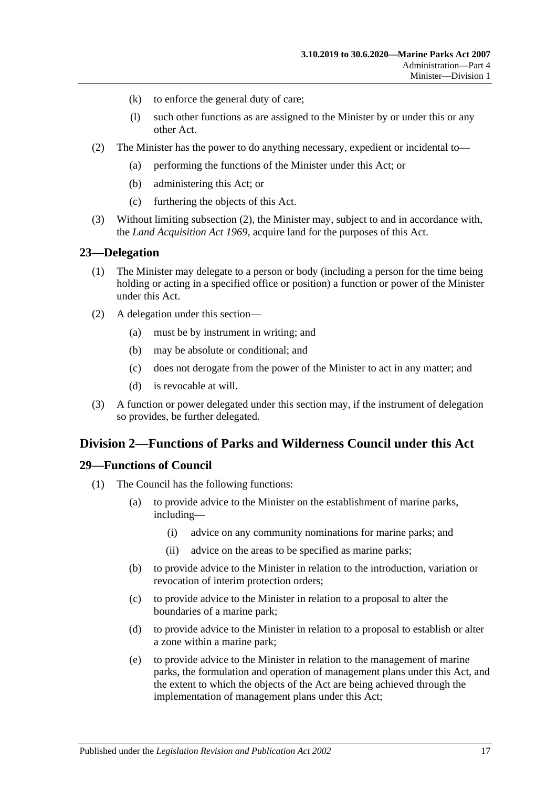- (k) to enforce the general duty of care;
- (l) such other functions as are assigned to the Minister by or under this or any other Act.
- <span id="page-16-3"></span>(2) The Minister has the power to do anything necessary, expedient or incidental to—
	- (a) performing the functions of the Minister under this Act; or
	- (b) administering this Act; or
	- (c) furthering the objects of this Act.
- (3) Without limiting [subsection](#page-16-3) (2), the Minister may, subject to and in accordance with, the *[Land Acquisition Act](http://www.legislation.sa.gov.au/index.aspx?action=legref&type=act&legtitle=Land%20Acquisition%20Act%201969) 1969*, acquire land for the purposes of this Act.

#### <span id="page-16-0"></span>**23—Delegation**

- (1) The Minister may delegate to a person or body (including a person for the time being holding or acting in a specified office or position) a function or power of the Minister under this Act.
- (2) A delegation under this section—
	- (a) must be by instrument in writing; and
	- (b) may be absolute or conditional; and
	- (c) does not derogate from the power of the Minister to act in any matter; and
	- (d) is revocable at will.
- (3) A function or power delegated under this section may, if the instrument of delegation so provides, be further delegated.

#### <span id="page-16-1"></span>**Division 2—Functions of Parks and Wilderness Council under this Act**

#### <span id="page-16-2"></span>**29—Functions of Council**

- (1) The Council has the following functions:
	- (a) to provide advice to the Minister on the establishment of marine parks, including—
		- (i) advice on any community nominations for marine parks; and
		- (ii) advice on the areas to be specified as marine parks;
	- (b) to provide advice to the Minister in relation to the introduction, variation or revocation of interim protection orders;
	- (c) to provide advice to the Minister in relation to a proposal to alter the boundaries of a marine park;
	- (d) to provide advice to the Minister in relation to a proposal to establish or alter a zone within a marine park;
	- (e) to provide advice to the Minister in relation to the management of marine parks, the formulation and operation of management plans under this Act, and the extent to which the objects of the Act are being achieved through the implementation of management plans under this Act;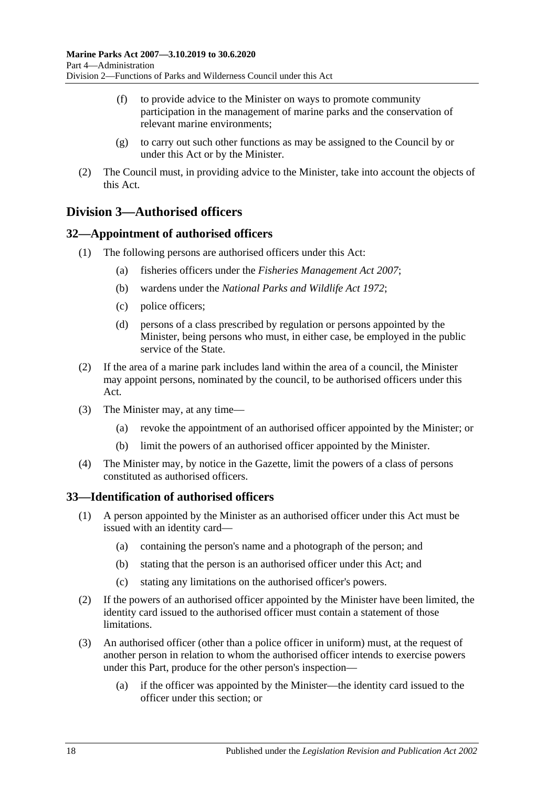- (f) to provide advice to the Minister on ways to promote community participation in the management of marine parks and the conservation of relevant marine environments;
- (g) to carry out such other functions as may be assigned to the Council by or under this Act or by the Minister.
- (2) The Council must, in providing advice to the Minister, take into account the objects of this Act.

### <span id="page-17-0"></span>**Division 3—Authorised officers**

#### <span id="page-17-1"></span>**32—Appointment of authorised officers**

- (1) The following persons are authorised officers under this Act:
	- (a) fisheries officers under the *[Fisheries Management Act](http://www.legislation.sa.gov.au/index.aspx?action=legref&type=act&legtitle=Fisheries%20Management%20Act%202007) 2007*;
	- (b) wardens under the *[National Parks and Wildlife Act](http://www.legislation.sa.gov.au/index.aspx?action=legref&type=act&legtitle=National%20Parks%20and%20Wildlife%20Act%201972) 1972*;
	- (c) police officers;
	- (d) persons of a class prescribed by regulation or persons appointed by the Minister, being persons who must, in either case, be employed in the public service of the State.
- (2) If the area of a marine park includes land within the area of a council, the Minister may appoint persons, nominated by the council, to be authorised officers under this Act.
- (3) The Minister may, at any time—
	- (a) revoke the appointment of an authorised officer appointed by the Minister; or
	- (b) limit the powers of an authorised officer appointed by the Minister.
- (4) The Minister may, by notice in the Gazette, limit the powers of a class of persons constituted as authorised officers.

#### <span id="page-17-2"></span>**33—Identification of authorised officers**

- (1) A person appointed by the Minister as an authorised officer under this Act must be issued with an identity card—
	- (a) containing the person's name and a photograph of the person; and
	- (b) stating that the person is an authorised officer under this Act; and
	- (c) stating any limitations on the authorised officer's powers.
- (2) If the powers of an authorised officer appointed by the Minister have been limited, the identity card issued to the authorised officer must contain a statement of those limitations.
- (3) An authorised officer (other than a police officer in uniform) must, at the request of another person in relation to whom the authorised officer intends to exercise powers under this Part, produce for the other person's inspection—
	- (a) if the officer was appointed by the Minister—the identity card issued to the officer under this section; or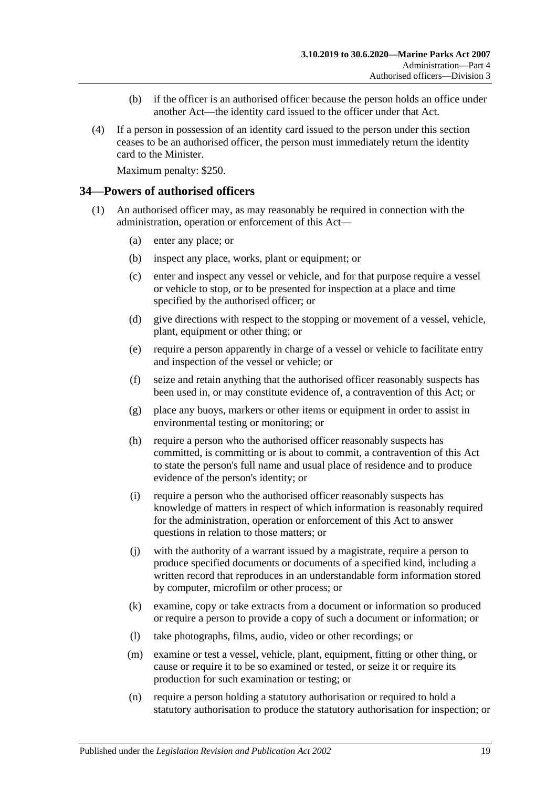- (b) if the officer is an authorised officer because the person holds an office under another Act—the identity card issued to the officer under that Act.
- (4) If a person in possession of an identity card issued to the person under this section ceases to be an authorised officer, the person must immediately return the identity card to the Minister.

Maximum penalty: \$250.

#### <span id="page-18-0"></span>**34—Powers of authorised officers**

- <span id="page-18-2"></span><span id="page-18-1"></span>(1) An authorised officer may, as may reasonably be required in connection with the administration, operation or enforcement of this Act—
	- (a) enter any place; or
	- (b) inspect any place, works, plant or equipment; or
	- (c) enter and inspect any vessel or vehicle, and for that purpose require a vessel or vehicle to stop, or to be presented for inspection at a place and time specified by the authorised officer; or
	- (d) give directions with respect to the stopping or movement of a vessel, vehicle, plant, equipment or other thing; or
	- (e) require a person apparently in charge of a vessel or vehicle to facilitate entry and inspection of the vessel or vehicle; or
	- (f) seize and retain anything that the authorised officer reasonably suspects has been used in, or may constitute evidence of, a contravention of this Act; or
	- (g) place any buoys, markers or other items or equipment in order to assist in environmental testing or monitoring; or
	- (h) require a person who the authorised officer reasonably suspects has committed, is committing or is about to commit, a contravention of this Act to state the person's full name and usual place of residence and to produce evidence of the person's identity; or
	- (i) require a person who the authorised officer reasonably suspects has knowledge of matters in respect of which information is reasonably required for the administration, operation or enforcement of this Act to answer questions in relation to those matters; or
	- (j) with the authority of a warrant issued by a magistrate, require a person to produce specified documents or documents of a specified kind, including a written record that reproduces in an understandable form information stored by computer, microfilm or other process; or
	- (k) examine, copy or take extracts from a document or information so produced or require a person to provide a copy of such a document or information; or
	- (l) take photographs, films, audio, video or other recordings; or
	- (m) examine or test a vessel, vehicle, plant, equipment, fitting or other thing, or cause or require it to be so examined or tested, or seize it or require its production for such examination or testing; or
	- (n) require a person holding a statutory authorisation or required to hold a statutory authorisation to produce the statutory authorisation for inspection; or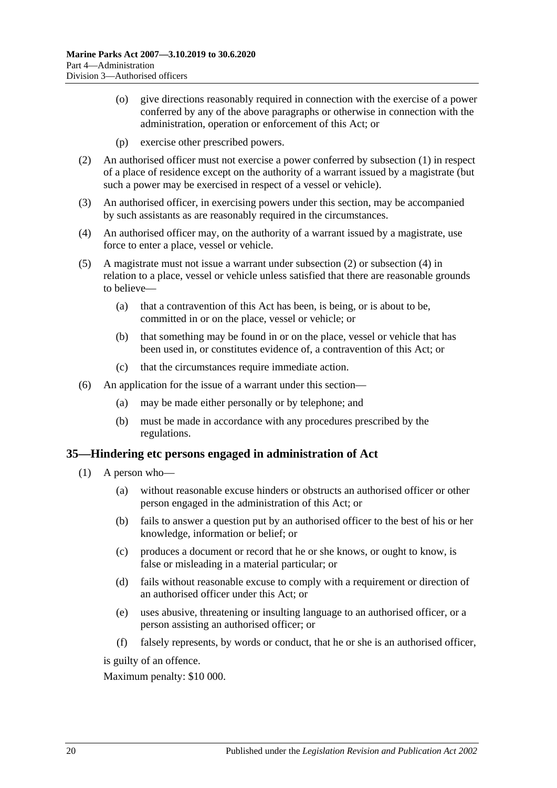- (o) give directions reasonably required in connection with the exercise of a power conferred by any of the above paragraphs or otherwise in connection with the administration, operation or enforcement of this Act; or
- (p) exercise other prescribed powers.
- <span id="page-19-1"></span>(2) An authorised officer must not exercise a power conferred by [subsection](#page-18-1) (1) in respect of a place of residence except on the authority of a warrant issued by a magistrate (but such a power may be exercised in respect of a vessel or vehicle).
- (3) An authorised officer, in exercising powers under this section, may be accompanied by such assistants as are reasonably required in the circumstances.
- <span id="page-19-2"></span>(4) An authorised officer may, on the authority of a warrant issued by a magistrate, use force to enter a place, vessel or vehicle.
- (5) A magistrate must not issue a warrant under [subsection](#page-19-1) (2) or [subsection](#page-19-2) (4) in relation to a place, vessel or vehicle unless satisfied that there are reasonable grounds to believe—
	- (a) that a contravention of this Act has been, is being, or is about to be, committed in or on the place, vessel or vehicle; or
	- (b) that something may be found in or on the place, vessel or vehicle that has been used in, or constitutes evidence of, a contravention of this Act; or
	- (c) that the circumstances require immediate action.
- (6) An application for the issue of a warrant under this section—
	- (a) may be made either personally or by telephone; and
	- (b) must be made in accordance with any procedures prescribed by the regulations.

#### <span id="page-19-0"></span>**35—Hindering etc persons engaged in administration of Act**

- (1) A person who—
	- (a) without reasonable excuse hinders or obstructs an authorised officer or other person engaged in the administration of this Act; or
	- (b) fails to answer a question put by an authorised officer to the best of his or her knowledge, information or belief; or
	- (c) produces a document or record that he or she knows, or ought to know, is false or misleading in a material particular; or
	- (d) fails without reasonable excuse to comply with a requirement or direction of an authorised officer under this Act; or
	- (e) uses abusive, threatening or insulting language to an authorised officer, or a person assisting an authorised officer; or
	- (f) falsely represents, by words or conduct, that he or she is an authorised officer,

is guilty of an offence.

Maximum penalty: \$10 000.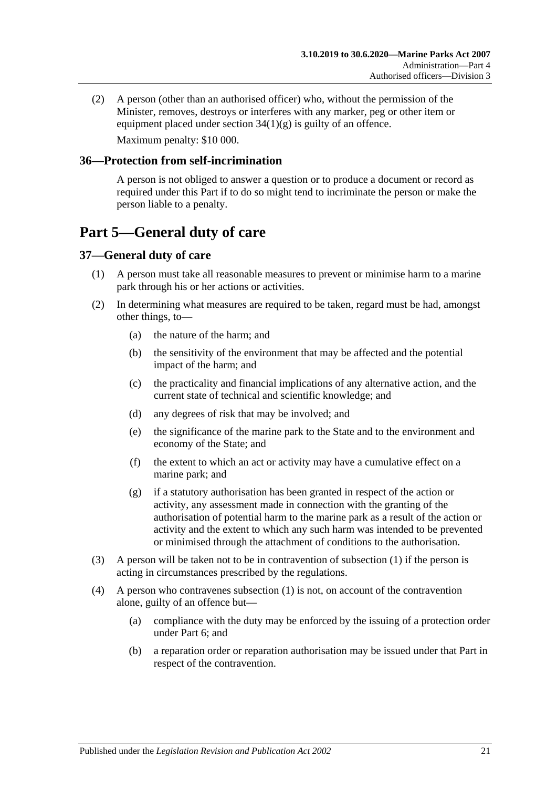(2) A person (other than an authorised officer) who, without the permission of the Minister, removes, destroys or interferes with any marker, peg or other item or equipment placed under section  $34(1)(g)$  is guilty of an offence. Maximum penalty: \$10 000.

#### <span id="page-20-0"></span>**36—Protection from self-incrimination**

A person is not obliged to answer a question or to produce a document or record as required under this Part if to do so might tend to incriminate the person or make the person liable to a penalty.

# <span id="page-20-1"></span>**Part 5—General duty of care**

#### <span id="page-20-3"></span><span id="page-20-2"></span>**37—General duty of care**

- (1) A person must take all reasonable measures to prevent or minimise harm to a marine park through his or her actions or activities.
- (2) In determining what measures are required to be taken, regard must be had, amongst other things, to—
	- (a) the nature of the harm; and
	- (b) the sensitivity of the environment that may be affected and the potential impact of the harm; and
	- (c) the practicality and financial implications of any alternative action, and the current state of technical and scientific knowledge; and
	- (d) any degrees of risk that may be involved; and
	- (e) the significance of the marine park to the State and to the environment and economy of the State; and
	- (f) the extent to which an act or activity may have a cumulative effect on a marine park; and
	- (g) if a statutory authorisation has been granted in respect of the action or activity, any assessment made in connection with the granting of the authorisation of potential harm to the marine park as a result of the action or activity and the extent to which any such harm was intended to be prevented or minimised through the attachment of conditions to the authorisation.
- (3) A person will be taken not to be in contravention of [subsection](#page-20-3) (1) if the person is acting in circumstances prescribed by the regulations.
- (4) A person who contravenes [subsection](#page-20-3) (1) is not, on account of the contravention alone, guilty of an offence but—
	- (a) compliance with the duty may be enforced by the issuing of a protection order under [Part 6;](#page-21-0) and
	- (b) a reparation order or reparation authorisation may be issued under that Part in respect of the contravention.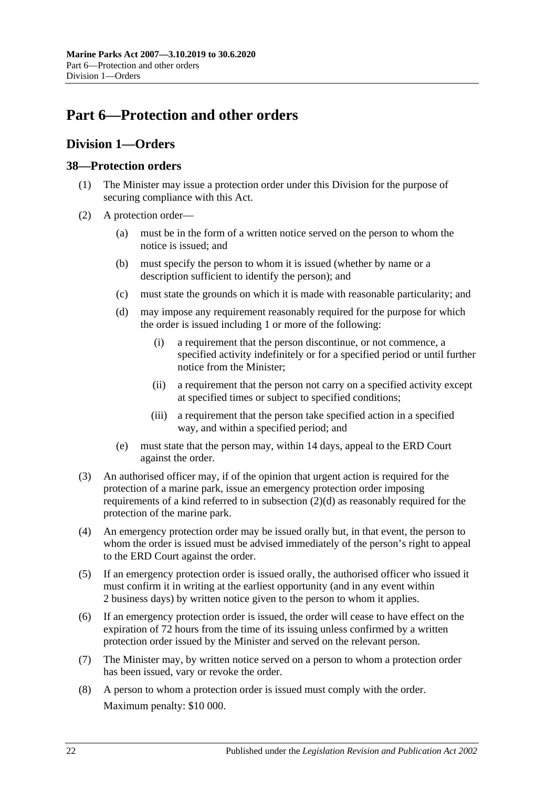# <span id="page-21-0"></span>**Part 6—Protection and other orders**

### <span id="page-21-1"></span>**Division 1—Orders**

#### <span id="page-21-2"></span>**38—Protection orders**

- (1) The Minister may issue a protection order under this Division for the purpose of securing compliance with this Act.
- <span id="page-21-3"></span>(2) A protection order—
	- (a) must be in the form of a written notice served on the person to whom the notice is issued; and
	- (b) must specify the person to whom it is issued (whether by name or a description sufficient to identify the person); and
	- (c) must state the grounds on which it is made with reasonable particularity; and
	- (d) may impose any requirement reasonably required for the purpose for which the order is issued including 1 or more of the following:
		- (i) a requirement that the person discontinue, or not commence, a specified activity indefinitely or for a specified period or until further notice from the Minister;
		- (ii) a requirement that the person not carry on a specified activity except at specified times or subject to specified conditions;
		- (iii) a requirement that the person take specified action in a specified way, and within a specified period; and
	- (e) must state that the person may, within 14 days, appeal to the ERD Court against the order.
- (3) An authorised officer may, if of the opinion that urgent action is required for the protection of a marine park, issue an emergency protection order imposing requirements of a kind referred to in [subsection](#page-21-3) (2)(d) as reasonably required for the protection of the marine park.
- (4) An emergency protection order may be issued orally but, in that event, the person to whom the order is issued must be advised immediately of the person's right to appeal to the ERD Court against the order.
- (5) If an emergency protection order is issued orally, the authorised officer who issued it must confirm it in writing at the earliest opportunity (and in any event within 2 business days) by written notice given to the person to whom it applies.
- (6) If an emergency protection order is issued, the order will cease to have effect on the expiration of 72 hours from the time of its issuing unless confirmed by a written protection order issued by the Minister and served on the relevant person.
- (7) The Minister may, by written notice served on a person to whom a protection order has been issued, vary or revoke the order.
- (8) A person to whom a protection order is issued must comply with the order. Maximum penalty: \$10 000.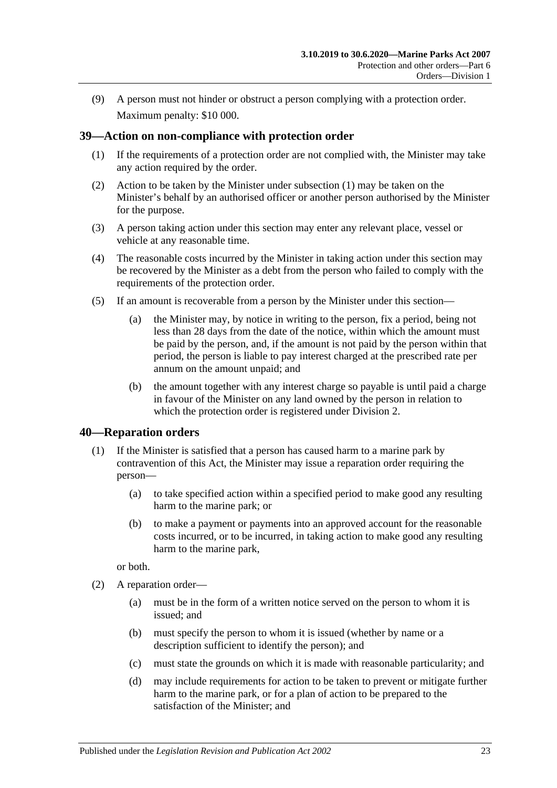(9) A person must not hinder or obstruct a person complying with a protection order. Maximum penalty: \$10 000.

#### <span id="page-22-2"></span><span id="page-22-0"></span>**39—Action on non-compliance with protection order**

- (1) If the requirements of a protection order are not complied with, the Minister may take any action required by the order.
- (2) Action to be taken by the Minister under [subsection](#page-22-2) (1) may be taken on the Minister's behalf by an authorised officer or another person authorised by the Minister for the purpose.
- (3) A person taking action under this section may enter any relevant place, vessel or vehicle at any reasonable time.
- (4) The reasonable costs incurred by the Minister in taking action under this section may be recovered by the Minister as a debt from the person who failed to comply with the requirements of the protection order.
- (5) If an amount is recoverable from a person by the Minister under this section—
	- (a) the Minister may, by notice in writing to the person, fix a period, being not less than 28 days from the date of the notice, within which the amount must be paid by the person, and, if the amount is not paid by the person within that period, the person is liable to pay interest charged at the prescribed rate per annum on the amount unpaid; and
	- (b) the amount together with any interest charge so payable is until paid a charge in favour of the Minister on any land owned by the person in relation to which the protection order is registered under [Division 2.](#page-25-1)

#### <span id="page-22-1"></span>**40—Reparation orders**

- (1) If the Minister is satisfied that a person has caused harm to a marine park by contravention of this Act, the Minister may issue a reparation order requiring the person—
	- (a) to take specified action within a specified period to make good any resulting harm to the marine park; or
	- (b) to make a payment or payments into an approved account for the reasonable costs incurred, or to be incurred, in taking action to make good any resulting harm to the marine park,

or both.

- <span id="page-22-3"></span>(2) A reparation order—
	- (a) must be in the form of a written notice served on the person to whom it is issued; and
	- (b) must specify the person to whom it is issued (whether by name or a description sufficient to identify the person); and
	- (c) must state the grounds on which it is made with reasonable particularity; and
	- (d) may include requirements for action to be taken to prevent or mitigate further harm to the marine park, or for a plan of action to be prepared to the satisfaction of the Minister; and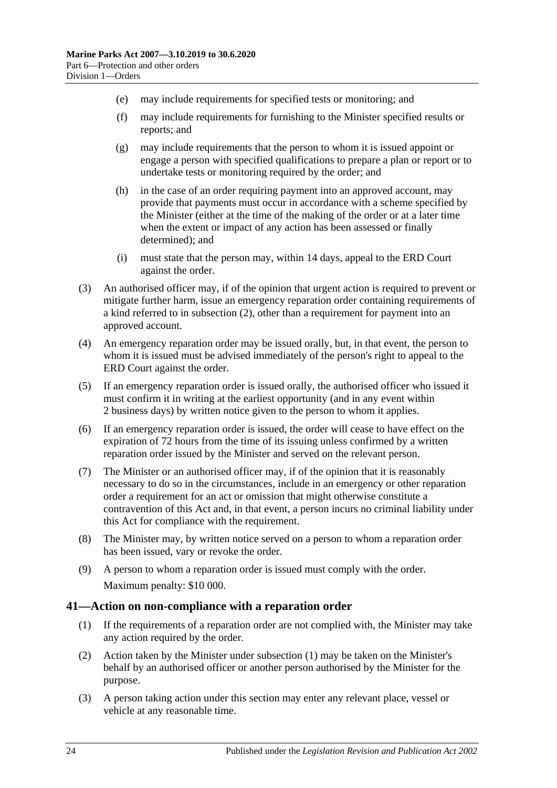- (e) may include requirements for specified tests or monitoring; and
- (f) may include requirements for furnishing to the Minister specified results or reports; and
- (g) may include requirements that the person to whom it is issued appoint or engage a person with specified qualifications to prepare a plan or report or to undertake tests or monitoring required by the order; and
- (h) in the case of an order requiring payment into an approved account, may provide that payments must occur in accordance with a scheme specified by the Minister (either at the time of the making of the order or at a later time when the extent or impact of any action has been assessed or finally determined); and
- (i) must state that the person may, within 14 days, appeal to the ERD Court against the order.
- (3) An authorised officer may, if of the opinion that urgent action is required to prevent or mitigate further harm, issue an emergency reparation order containing requirements of a kind referred to in [subsection](#page-22-3) (2), other than a requirement for payment into an approved account.
- (4) An emergency reparation order may be issued orally, but, in that event, the person to whom it is issued must be advised immediately of the person's right to appeal to the ERD Court against the order.
- (5) If an emergency reparation order is issued orally, the authorised officer who issued it must confirm it in writing at the earliest opportunity (and in any event within 2 business days) by written notice given to the person to whom it applies.
- (6) If an emergency reparation order is issued, the order will cease to have effect on the expiration of 72 hours from the time of its issuing unless confirmed by a written reparation order issued by the Minister and served on the relevant person.
- (7) The Minister or an authorised officer may, if of the opinion that it is reasonably necessary to do so in the circumstances, include in an emergency or other reparation order a requirement for an act or omission that might otherwise constitute a contravention of this Act and, in that event, a person incurs no criminal liability under this Act for compliance with the requirement.
- (8) The Minister may, by written notice served on a person to whom a reparation order has been issued, vary or revoke the order.
- (9) A person to whom a reparation order is issued must comply with the order. Maximum penalty: \$10 000.

#### <span id="page-23-1"></span><span id="page-23-0"></span>**41—Action on non-compliance with a reparation order**

- (1) If the requirements of a reparation order are not complied with, the Minister may take any action required by the order.
- (2) Action taken by the Minister under [subsection](#page-23-1) (1) may be taken on the Minister's behalf by an authorised officer or another person authorised by the Minister for the purpose.
- (3) A person taking action under this section may enter any relevant place, vessel or vehicle at any reasonable time.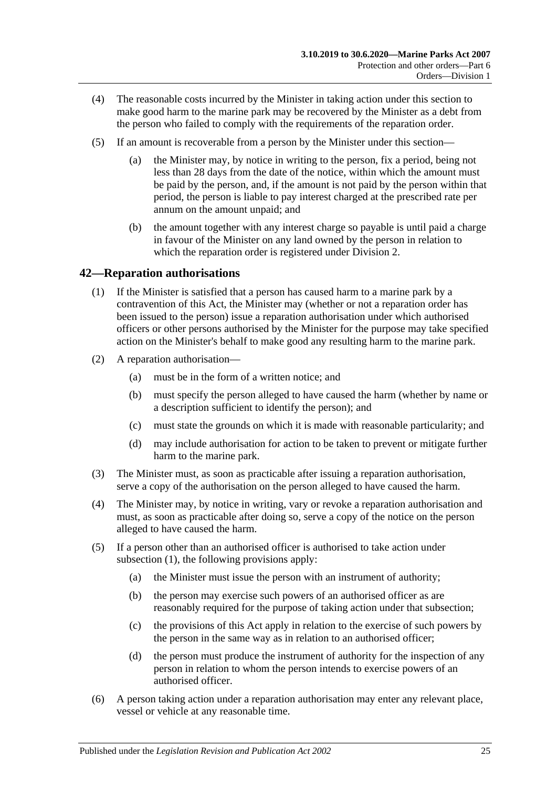- (4) The reasonable costs incurred by the Minister in taking action under this section to make good harm to the marine park may be recovered by the Minister as a debt from the person who failed to comply with the requirements of the reparation order.
- (5) If an amount is recoverable from a person by the Minister under this section—
	- (a) the Minister may, by notice in writing to the person, fix a period, being not less than 28 days from the date of the notice, within which the amount must be paid by the person, and, if the amount is not paid by the person within that period, the person is liable to pay interest charged at the prescribed rate per annum on the amount unpaid; and
	- (b) the amount together with any interest charge so payable is until paid a charge in favour of the Minister on any land owned by the person in relation to which the reparation order is registered under [Division 2.](#page-25-1)

#### <span id="page-24-1"></span><span id="page-24-0"></span>**42—Reparation authorisations**

- (1) If the Minister is satisfied that a person has caused harm to a marine park by a contravention of this Act, the Minister may (whether or not a reparation order has been issued to the person) issue a reparation authorisation under which authorised officers or other persons authorised by the Minister for the purpose may take specified action on the Minister's behalf to make good any resulting harm to the marine park.
- (2) A reparation authorisation—
	- (a) must be in the form of a written notice; and
	- (b) must specify the person alleged to have caused the harm (whether by name or a description sufficient to identify the person); and
	- (c) must state the grounds on which it is made with reasonable particularity; and
	- (d) may include authorisation for action to be taken to prevent or mitigate further harm to the marine park.
- (3) The Minister must, as soon as practicable after issuing a reparation authorisation, serve a copy of the authorisation on the person alleged to have caused the harm.
- (4) The Minister may, by notice in writing, vary or revoke a reparation authorisation and must, as soon as practicable after doing so, serve a copy of the notice on the person alleged to have caused the harm.
- (5) If a person other than an authorised officer is authorised to take action under [subsection](#page-24-1) (1), the following provisions apply:
	- (a) the Minister must issue the person with an instrument of authority;
	- (b) the person may exercise such powers of an authorised officer as are reasonably required for the purpose of taking action under that subsection;
	- (c) the provisions of this Act apply in relation to the exercise of such powers by the person in the same way as in relation to an authorised officer;
	- (d) the person must produce the instrument of authority for the inspection of any person in relation to whom the person intends to exercise powers of an authorised officer.
- (6) A person taking action under a reparation authorisation may enter any relevant place, vessel or vehicle at any reasonable time.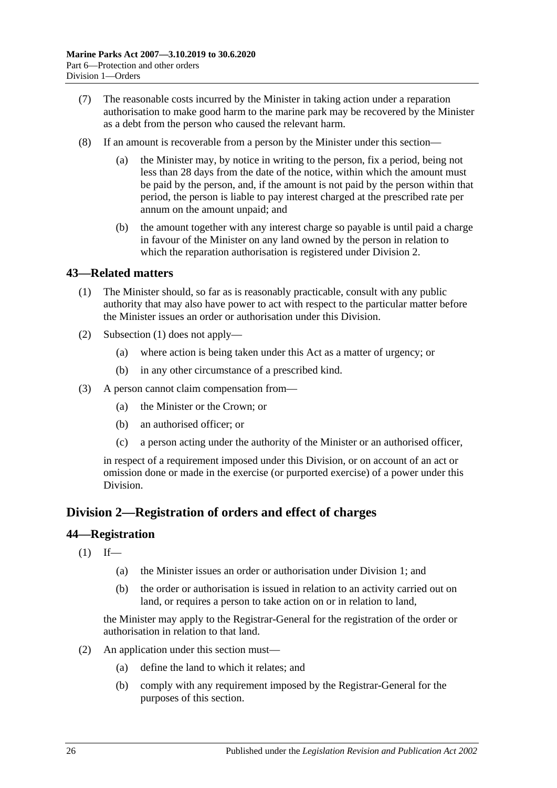- (7) The reasonable costs incurred by the Minister in taking action under a reparation authorisation to make good harm to the marine park may be recovered by the Minister as a debt from the person who caused the relevant harm.
- (8) If an amount is recoverable from a person by the Minister under this section
	- the Minister may, by notice in writing to the person, fix a period, being not less than 28 days from the date of the notice, within which the amount must be paid by the person, and, if the amount is not paid by the person within that period, the person is liable to pay interest charged at the prescribed rate per annum on the amount unpaid; and
	- (b) the amount together with any interest charge so payable is until paid a charge in favour of the Minister on any land owned by the person in relation to which the reparation authorisation is registered under [Division 2.](#page-25-1)

#### <span id="page-25-3"></span><span id="page-25-0"></span>**43—Related matters**

- (1) The Minister should, so far as is reasonably practicable, consult with any public authority that may also have power to act with respect to the particular matter before the Minister issues an order or authorisation under this Division.
- (2) [Subsection](#page-25-3) (1) does not apply—
	- (a) where action is being taken under this Act as a matter of urgency; or
	- (b) in any other circumstance of a prescribed kind.
- (3) A person cannot claim compensation from—
	- (a) the Minister or the Crown; or
	- (b) an authorised officer; or
	- (c) a person acting under the authority of the Minister or an authorised officer,

in respect of a requirement imposed under this Division, or on account of an act or omission done or made in the exercise (or purported exercise) of a power under this Division.

#### <span id="page-25-1"></span>**Division 2—Registration of orders and effect of charges**

#### <span id="page-25-2"></span>**44—Registration**

- $(1)$  If—
	- (a) the Minister issues an order or authorisation under [Division 1;](#page-21-1) and
	- (b) the order or authorisation is issued in relation to an activity carried out on land, or requires a person to take action on or in relation to land,

the Minister may apply to the Registrar-General for the registration of the order or authorisation in relation to that land.

- <span id="page-25-4"></span>(2) An application under this section must—
	- (a) define the land to which it relates; and
	- (b) comply with any requirement imposed by the Registrar-General for the purposes of this section.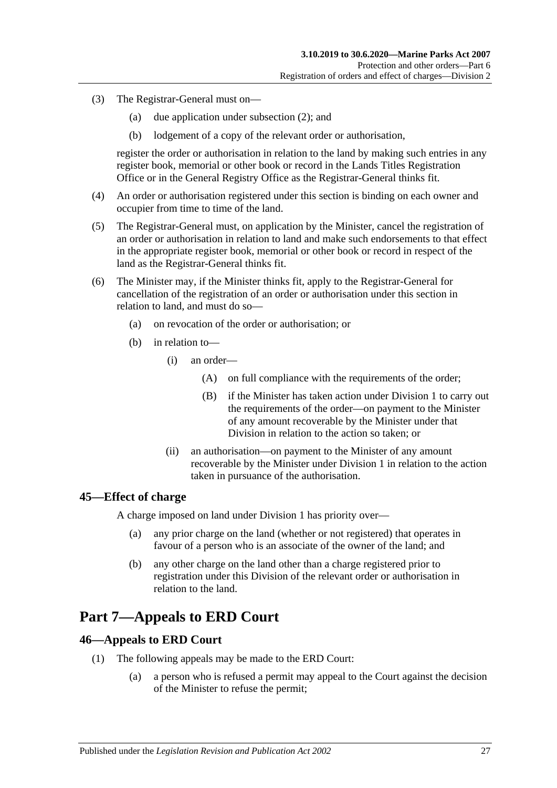- (3) The Registrar-General must on—
	- (a) due application under [subsection](#page-25-4) (2); and
	- (b) lodgement of a copy of the relevant order or authorisation,

register the order or authorisation in relation to the land by making such entries in any register book, memorial or other book or record in the Lands Titles Registration Office or in the General Registry Office as the Registrar-General thinks fit.

- (4) An order or authorisation registered under this section is binding on each owner and occupier from time to time of the land.
- (5) The Registrar-General must, on application by the Minister, cancel the registration of an order or authorisation in relation to land and make such endorsements to that effect in the appropriate register book, memorial or other book or record in respect of the land as the Registrar-General thinks fit.
- (6) The Minister may, if the Minister thinks fit, apply to the Registrar-General for cancellation of the registration of an order or authorisation under this section in relation to land, and must do so—
	- (a) on revocation of the order or authorisation; or
	- (b) in relation to—
		- (i) an order—
			- (A) on full compliance with the requirements of the order;
			- (B) if the Minister has taken action under [Division 1](#page-21-1) to carry out the requirements of the order—on payment to the Minister of any amount recoverable by the Minister under that Division in relation to the action so taken; or
		- (ii) an authorisation—on payment to the Minister of any amount recoverable by the Minister under [Division 1](#page-21-1) in relation to the action taken in pursuance of the authorisation.

#### <span id="page-26-0"></span>**45—Effect of charge**

A charge imposed on land under [Division 1](#page-21-1) has priority over—

- (a) any prior charge on the land (whether or not registered) that operates in favour of a person who is an associate of the owner of the land; and
- (b) any other charge on the land other than a charge registered prior to registration under this Division of the relevant order or authorisation in relation to the land.

## <span id="page-26-1"></span>**Part 7—Appeals to ERD Court**

#### <span id="page-26-2"></span>**46—Appeals to ERD Court**

- <span id="page-26-3"></span>(1) The following appeals may be made to the ERD Court:
	- (a) a person who is refused a permit may appeal to the Court against the decision of the Minister to refuse the permit;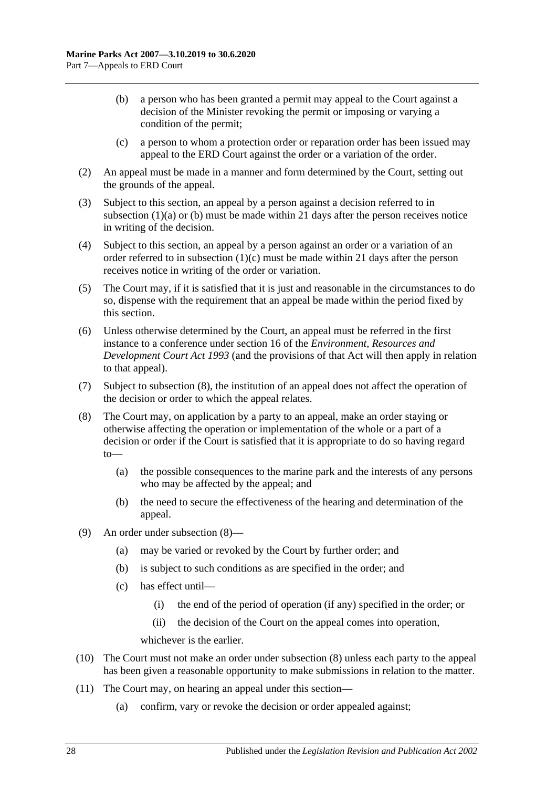- <span id="page-27-0"></span>(b) a person who has been granted a permit may appeal to the Court against a decision of the Minister revoking the permit or imposing or varying a condition of the permit;
- (c) a person to whom a protection order or reparation order has been issued may appeal to the ERD Court against the order or a variation of the order.
- <span id="page-27-1"></span>(2) An appeal must be made in a manner and form determined by the Court, setting out the grounds of the appeal.
- (3) Subject to this section, an appeal by a person against a decision referred to in [subsection](#page-26-3)  $(1)(a)$  or  $(b)$  must be made within 21 days after the person receives notice in writing of the decision.
- (4) Subject to this section, an appeal by a person against an order or a variation of an order referred to in [subsection](#page-27-1)  $(1)(c)$  must be made within 21 days after the person receives notice in writing of the order or variation.
- (5) The Court may, if it is satisfied that it is just and reasonable in the circumstances to do so, dispense with the requirement that an appeal be made within the period fixed by this section.
- (6) Unless otherwise determined by the Court, an appeal must be referred in the first instance to a conference under section 16 of the *[Environment, Resources and](http://www.legislation.sa.gov.au/index.aspx?action=legref&type=act&legtitle=Environment%20Resources%20and%20Development%20Court%20Act%201993)  [Development Court Act](http://www.legislation.sa.gov.au/index.aspx?action=legref&type=act&legtitle=Environment%20Resources%20and%20Development%20Court%20Act%201993) 1993* (and the provisions of that Act will then apply in relation to that appeal).
- (7) Subject to [subsection](#page-27-2) (8), the institution of an appeal does not affect the operation of the decision or order to which the appeal relates.
- <span id="page-27-2"></span>(8) The Court may, on application by a party to an appeal, make an order staying or otherwise affecting the operation or implementation of the whole or a part of a decision or order if the Court is satisfied that it is appropriate to do so having regard to—
	- (a) the possible consequences to the marine park and the interests of any persons who may be affected by the appeal; and
	- (b) the need to secure the effectiveness of the hearing and determination of the appeal.
- (9) An order under [subsection](#page-27-2) (8)—
	- (a) may be varied or revoked by the Court by further order; and
	- (b) is subject to such conditions as are specified in the order; and
	- (c) has effect until—
		- (i) the end of the period of operation (if any) specified in the order; or
		- (ii) the decision of the Court on the appeal comes into operation,

whichever is the earlier.

- (10) The Court must not make an order under [subsection](#page-27-2) (8) unless each party to the appeal has been given a reasonable opportunity to make submissions in relation to the matter.
- (11) The Court may, on hearing an appeal under this section—
	- (a) confirm, vary or revoke the decision or order appealed against;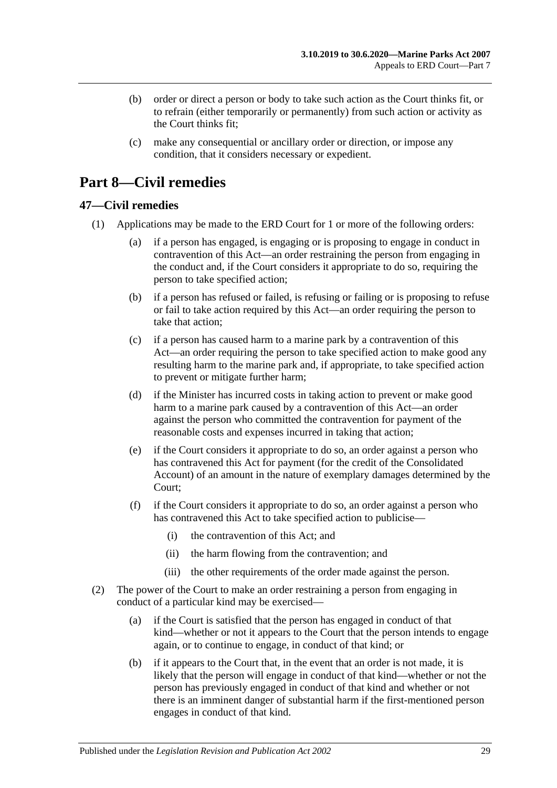- (b) order or direct a person or body to take such action as the Court thinks fit, or to refrain (either temporarily or permanently) from such action or activity as the Court thinks fit;
- (c) make any consequential or ancillary order or direction, or impose any condition, that it considers necessary or expedient.

# <span id="page-28-0"></span>**Part 8—Civil remedies**

#### <span id="page-28-2"></span><span id="page-28-1"></span>**47—Civil remedies**

- (1) Applications may be made to the ERD Court for 1 or more of the following orders:
	- (a) if a person has engaged, is engaging or is proposing to engage in conduct in contravention of this Act—an order restraining the person from engaging in the conduct and, if the Court considers it appropriate to do so, requiring the person to take specified action;
	- (b) if a person has refused or failed, is refusing or failing or is proposing to refuse or fail to take action required by this Act—an order requiring the person to take that action;
	- (c) if a person has caused harm to a marine park by a contravention of this Act—an order requiring the person to take specified action to make good any resulting harm to the marine park and, if appropriate, to take specified action to prevent or mitigate further harm;
	- (d) if the Minister has incurred costs in taking action to prevent or make good harm to a marine park caused by a contravention of this Act—an order against the person who committed the contravention for payment of the reasonable costs and expenses incurred in taking that action;
	- (e) if the Court considers it appropriate to do so, an order against a person who has contravened this Act for payment (for the credit of the Consolidated Account) of an amount in the nature of exemplary damages determined by the Court;
	- (f) if the Court considers it appropriate to do so, an order against a person who has contravened this Act to take specified action to publicise—
		- (i) the contravention of this Act; and
		- (ii) the harm flowing from the contravention; and
		- (iii) the other requirements of the order made against the person.
- (2) The power of the Court to make an order restraining a person from engaging in conduct of a particular kind may be exercised—
	- (a) if the Court is satisfied that the person has engaged in conduct of that kind—whether or not it appears to the Court that the person intends to engage again, or to continue to engage, in conduct of that kind; or
	- (b) if it appears to the Court that, in the event that an order is not made, it is likely that the person will engage in conduct of that kind—whether or not the person has previously engaged in conduct of that kind and whether or not there is an imminent danger of substantial harm if the first-mentioned person engages in conduct of that kind.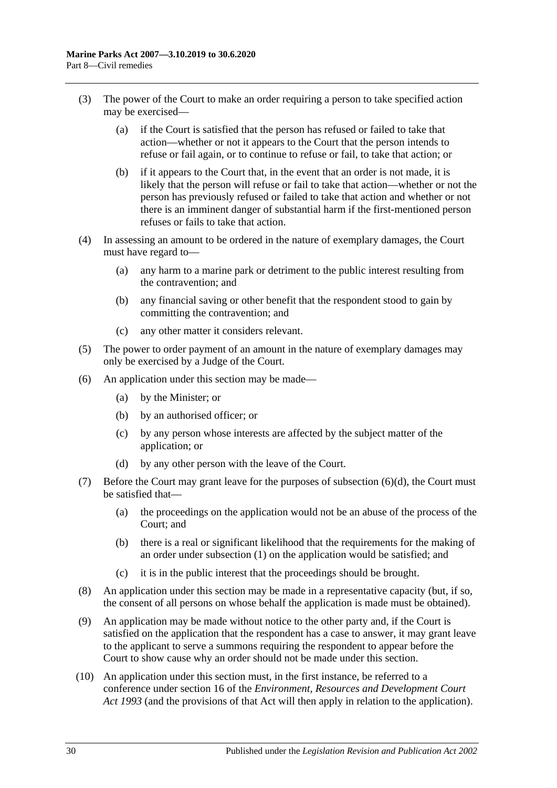- (3) The power of the Court to make an order requiring a person to take specified action may be exercised—
	- (a) if the Court is satisfied that the person has refused or failed to take that action—whether or not it appears to the Court that the person intends to refuse or fail again, or to continue to refuse or fail, to take that action; or
	- (b) if it appears to the Court that, in the event that an order is not made, it is likely that the person will refuse or fail to take that action—whether or not the person has previously refused or failed to take that action and whether or not there is an imminent danger of substantial harm if the first-mentioned person refuses or fails to take that action.
- (4) In assessing an amount to be ordered in the nature of exemplary damages, the Court must have regard to—
	- (a) any harm to a marine park or detriment to the public interest resulting from the contravention; and
	- (b) any financial saving or other benefit that the respondent stood to gain by committing the contravention; and
	- (c) any other matter it considers relevant.
- (5) The power to order payment of an amount in the nature of exemplary damages may only be exercised by a Judge of the Court.
- (6) An application under this section may be made—
	- (a) by the Minister; or
	- (b) by an authorised officer; or
	- (c) by any person whose interests are affected by the subject matter of the application; or
	- (d) by any other person with the leave of the Court.
- <span id="page-29-0"></span>(7) Before the Court may grant leave for the purposes of [subsection](#page-29-0)  $(6)(d)$ , the Court must be satisfied that—
	- (a) the proceedings on the application would not be an abuse of the process of the Court; and
	- (b) there is a real or significant likelihood that the requirements for the making of an order under [subsection](#page-28-2) (1) on the application would be satisfied; and
	- (c) it is in the public interest that the proceedings should be brought.
- (8) An application under this section may be made in a representative capacity (but, if so, the consent of all persons on whose behalf the application is made must be obtained).
- (9) An application may be made without notice to the other party and, if the Court is satisfied on the application that the respondent has a case to answer, it may grant leave to the applicant to serve a summons requiring the respondent to appear before the Court to show cause why an order should not be made under this section.
- (10) An application under this section must, in the first instance, be referred to a conference under section 16 of the *[Environment, Resources and Development Court](http://www.legislation.sa.gov.au/index.aspx?action=legref&type=act&legtitle=Environment%20Resources%20and%20Development%20Court%20Act%201993)  Act [1993](http://www.legislation.sa.gov.au/index.aspx?action=legref&type=act&legtitle=Environment%20Resources%20and%20Development%20Court%20Act%201993)* (and the provisions of that Act will then apply in relation to the application).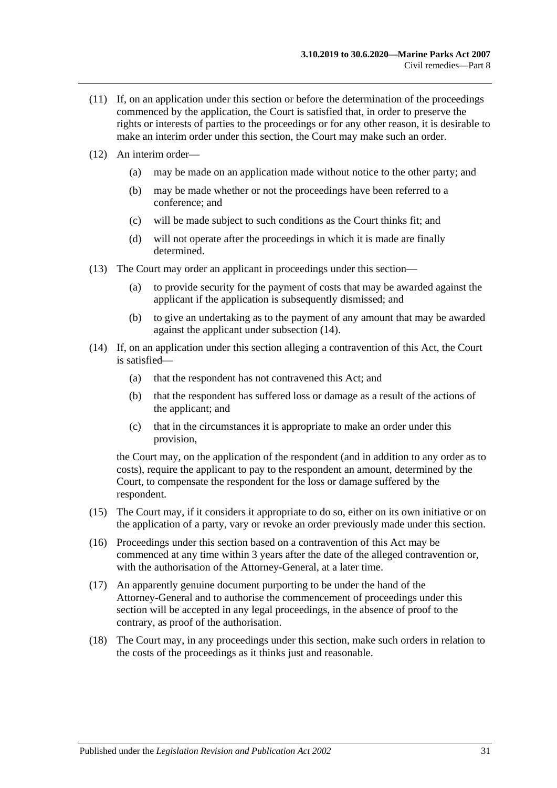- (11) If, on an application under this section or before the determination of the proceedings commenced by the application, the Court is satisfied that, in order to preserve the rights or interests of parties to the proceedings or for any other reason, it is desirable to make an interim order under this section, the Court may make such an order.
- (12) An interim order—
	- (a) may be made on an application made without notice to the other party; and
	- (b) may be made whether or not the proceedings have been referred to a conference; and
	- (c) will be made subject to such conditions as the Court thinks fit; and
	- (d) will not operate after the proceedings in which it is made are finally determined.
- (13) The Court may order an applicant in proceedings under this section—
	- (a) to provide security for the payment of costs that may be awarded against the applicant if the application is subsequently dismissed; and
	- (b) to give an undertaking as to the payment of any amount that may be awarded against the applicant under [subsection](#page-30-0) (14).
- <span id="page-30-0"></span>(14) If, on an application under this section alleging a contravention of this Act, the Court is satisfied—
	- (a) that the respondent has not contravened this Act; and
	- (b) that the respondent has suffered loss or damage as a result of the actions of the applicant; and
	- (c) that in the circumstances it is appropriate to make an order under this provision,

the Court may, on the application of the respondent (and in addition to any order as to costs), require the applicant to pay to the respondent an amount, determined by the Court, to compensate the respondent for the loss or damage suffered by the respondent.

- (15) The Court may, if it considers it appropriate to do so, either on its own initiative or on the application of a party, vary or revoke an order previously made under this section.
- (16) Proceedings under this section based on a contravention of this Act may be commenced at any time within 3 years after the date of the alleged contravention or, with the authorisation of the Attorney-General, at a later time.
- (17) An apparently genuine document purporting to be under the hand of the Attorney-General and to authorise the commencement of proceedings under this section will be accepted in any legal proceedings, in the absence of proof to the contrary, as proof of the authorisation.
- <span id="page-30-1"></span>(18) The Court may, in any proceedings under this section, make such orders in relation to the costs of the proceedings as it thinks just and reasonable.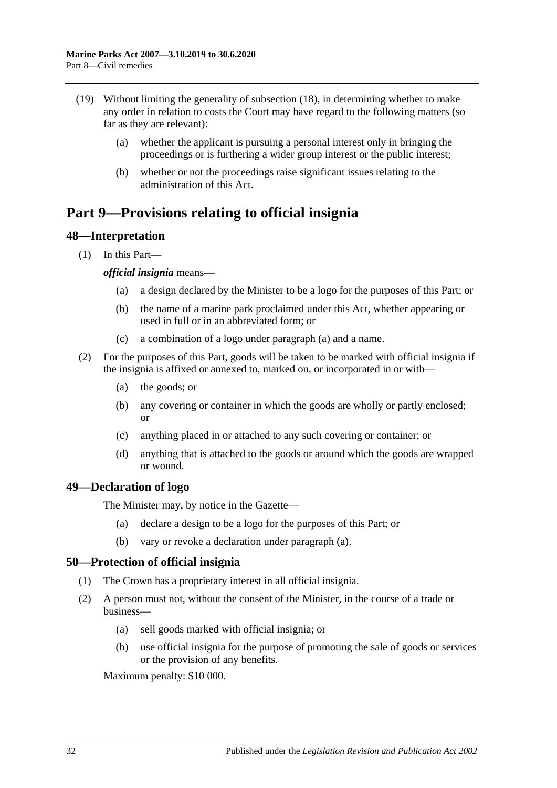- (19) Without limiting the generality of [subsection](#page-30-1) (18), in determining whether to make any order in relation to costs the Court may have regard to the following matters (so far as they are relevant):
	- (a) whether the applicant is pursuing a personal interest only in bringing the proceedings or is furthering a wider group interest or the public interest;
	- (b) whether or not the proceedings raise significant issues relating to the administration of this Act.

# <span id="page-31-0"></span>**Part 9—Provisions relating to official insignia**

#### <span id="page-31-1"></span>**48—Interpretation**

<span id="page-31-4"></span>(1) In this Part—

#### *official insignia* means—

- (a) a design declared by the Minister to be a logo for the purposes of this Part; or
- (b) the name of a marine park proclaimed under this Act, whether appearing or used in full or in an abbreviated form; or
- (c) a combination of a logo under [paragraph](#page-31-4) (a) and a name.
- (2) For the purposes of this Part, goods will be taken to be marked with official insignia if the insignia is affixed or annexed to, marked on, or incorporated in or with—
	- (a) the goods; or
	- (b) any covering or container in which the goods are wholly or partly enclosed; or
	- (c) anything placed in or attached to any such covering or container; or
	- (d) anything that is attached to the goods or around which the goods are wrapped or wound.

#### <span id="page-31-5"></span><span id="page-31-2"></span>**49—Declaration of logo**

The Minister may, by notice in the Gazette—

- (a) declare a design to be a logo for the purposes of this Part; or
- (b) vary or revoke a declaration under [paragraph](#page-31-5) (a).

#### <span id="page-31-3"></span>**50—Protection of official insignia**

- (1) The Crown has a proprietary interest in all official insignia.
- <span id="page-31-6"></span>(2) A person must not, without the consent of the Minister, in the course of a trade or business—
	- (a) sell goods marked with official insignia; or
	- (b) use official insignia for the purpose of promoting the sale of goods or services or the provision of any benefits.

Maximum penalty: \$10 000.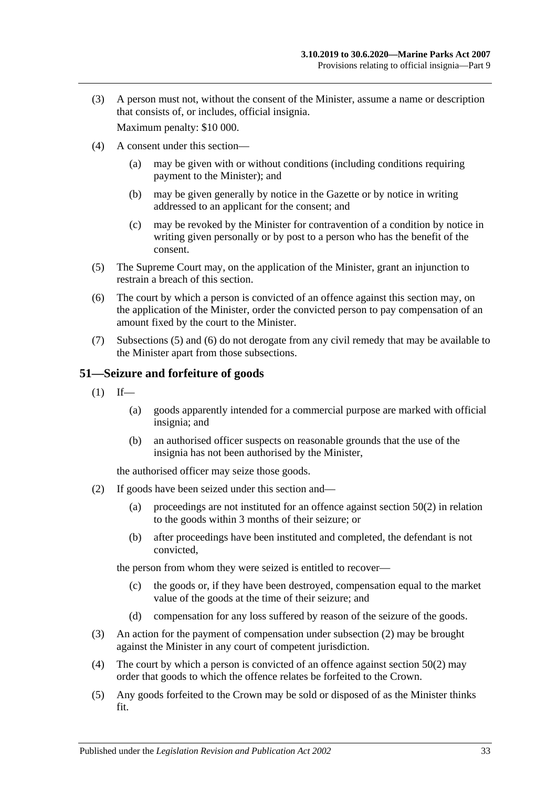(3) A person must not, without the consent of the Minister, assume a name or description that consists of, or includes, official insignia.

Maximum penalty: \$10 000.

- (4) A consent under this section—
	- (a) may be given with or without conditions (including conditions requiring payment to the Minister); and
	- (b) may be given generally by notice in the Gazette or by notice in writing addressed to an applicant for the consent; and
	- (c) may be revoked by the Minister for contravention of a condition by notice in writing given personally or by post to a person who has the benefit of the consent.
- <span id="page-32-1"></span>(5) The Supreme Court may, on the application of the Minister, grant an injunction to restrain a breach of this section.
- <span id="page-32-2"></span>(6) The court by which a person is convicted of an offence against this section may, on the application of the Minister, order the convicted person to pay compensation of an amount fixed by the court to the Minister.
- (7) [Subsections](#page-32-1) (5) and [\(6\)](#page-32-2) do not derogate from any civil remedy that may be available to the Minister apart from those subsections.

#### <span id="page-32-0"></span>**51—Seizure and forfeiture of goods**

- $(1)$  If—
	- (a) goods apparently intended for a commercial purpose are marked with official insignia; and
	- (b) an authorised officer suspects on reasonable grounds that the use of the insignia has not been authorised by the Minister,

the authorised officer may seize those goods.

- <span id="page-32-3"></span>(2) If goods have been seized under this section and—
	- (a) proceedings are not instituted for an offence against [section](#page-31-6) 50(2) in relation to the goods within 3 months of their seizure; or
	- (b) after proceedings have been instituted and completed, the defendant is not convicted,

the person from whom they were seized is entitled to recover—

- (c) the goods or, if they have been destroyed, compensation equal to the market value of the goods at the time of their seizure; and
- (d) compensation for any loss suffered by reason of the seizure of the goods.
- (3) An action for the payment of compensation under [subsection](#page-32-3) (2) may be brought against the Minister in any court of competent jurisdiction.
- (4) The court by which a person is convicted of an offence against [section](#page-31-6) 50(2) may order that goods to which the offence relates be forfeited to the Crown.
- (5) Any goods forfeited to the Crown may be sold or disposed of as the Minister thinks fit.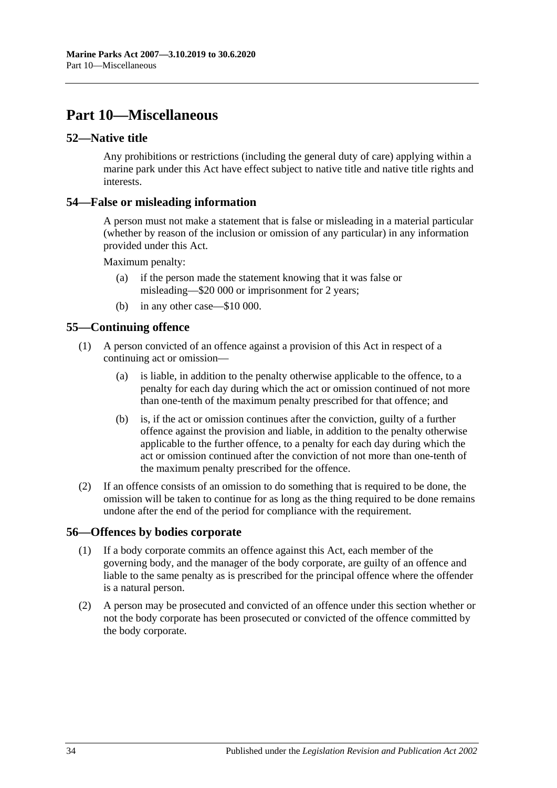# <span id="page-33-0"></span>**Part 10—Miscellaneous**

#### <span id="page-33-1"></span>**52—Native title**

Any prohibitions or restrictions (including the general duty of care) applying within a marine park under this Act have effect subject to native title and native title rights and interests.

#### <span id="page-33-2"></span>**54—False or misleading information**

A person must not make a statement that is false or misleading in a material particular (whether by reason of the inclusion or omission of any particular) in any information provided under this Act.

Maximum penalty:

- (a) if the person made the statement knowing that it was false or misleading—\$20 000 or imprisonment for 2 years;
- (b) in any other case—\$10 000.

#### <span id="page-33-3"></span>**55—Continuing offence**

- (1) A person convicted of an offence against a provision of this Act in respect of a continuing act or omission—
	- (a) is liable, in addition to the penalty otherwise applicable to the offence, to a penalty for each day during which the act or omission continued of not more than one-tenth of the maximum penalty prescribed for that offence; and
	- (b) is, if the act or omission continues after the conviction, guilty of a further offence against the provision and liable, in addition to the penalty otherwise applicable to the further offence, to a penalty for each day during which the act or omission continued after the conviction of not more than one-tenth of the maximum penalty prescribed for the offence.
- (2) If an offence consists of an omission to do something that is required to be done, the omission will be taken to continue for as long as the thing required to be done remains undone after the end of the period for compliance with the requirement.

#### <span id="page-33-4"></span>**56—Offences by bodies corporate**

- (1) If a body corporate commits an offence against this Act, each member of the governing body, and the manager of the body corporate, are guilty of an offence and liable to the same penalty as is prescribed for the principal offence where the offender is a natural person.
- (2) A person may be prosecuted and convicted of an offence under this section whether or not the body corporate has been prosecuted or convicted of the offence committed by the body corporate.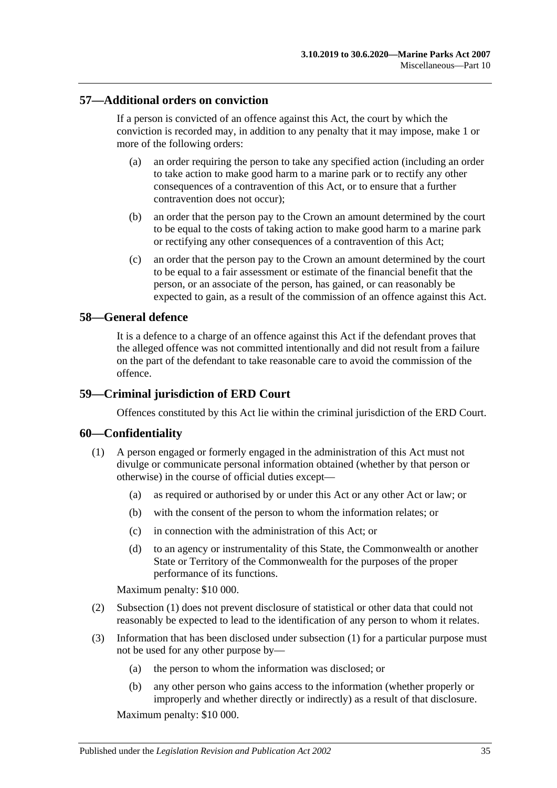#### <span id="page-34-0"></span>**57—Additional orders on conviction**

If a person is convicted of an offence against this Act, the court by which the conviction is recorded may, in addition to any penalty that it may impose, make 1 or more of the following orders:

- (a) an order requiring the person to take any specified action (including an order to take action to make good harm to a marine park or to rectify any other consequences of a contravention of this Act, or to ensure that a further contravention does not occur);
- (b) an order that the person pay to the Crown an amount determined by the court to be equal to the costs of taking action to make good harm to a marine park or rectifying any other consequences of a contravention of this Act;
- (c) an order that the person pay to the Crown an amount determined by the court to be equal to a fair assessment or estimate of the financial benefit that the person, or an associate of the person, has gained, or can reasonably be expected to gain, as a result of the commission of an offence against this Act.

#### <span id="page-34-1"></span>**58—General defence**

It is a defence to a charge of an offence against this Act if the defendant proves that the alleged offence was not committed intentionally and did not result from a failure on the part of the defendant to take reasonable care to avoid the commission of the offence.

#### <span id="page-34-2"></span>**59—Criminal jurisdiction of ERD Court**

Offences constituted by this Act lie within the criminal jurisdiction of the ERD Court.

#### <span id="page-34-4"></span><span id="page-34-3"></span>**60—Confidentiality**

- (1) A person engaged or formerly engaged in the administration of this Act must not divulge or communicate personal information obtained (whether by that person or otherwise) in the course of official duties except—
	- (a) as required or authorised by or under this Act or any other Act or law; or
	- (b) with the consent of the person to whom the information relates; or
	- (c) in connection with the administration of this Act; or
	- (d) to an agency or instrumentality of this State, the Commonwealth or another State or Territory of the Commonwealth for the purposes of the proper performance of its functions.

Maximum penalty: \$10 000.

- (2) [Subsection](#page-34-4) (1) does not prevent disclosure of statistical or other data that could not reasonably be expected to lead to the identification of any person to whom it relates.
- (3) Information that has been disclosed under [subsection](#page-34-4) (1) for a particular purpose must not be used for any other purpose by—
	- (a) the person to whom the information was disclosed; or
	- (b) any other person who gains access to the information (whether properly or improperly and whether directly or indirectly) as a result of that disclosure.

Maximum penalty: \$10 000.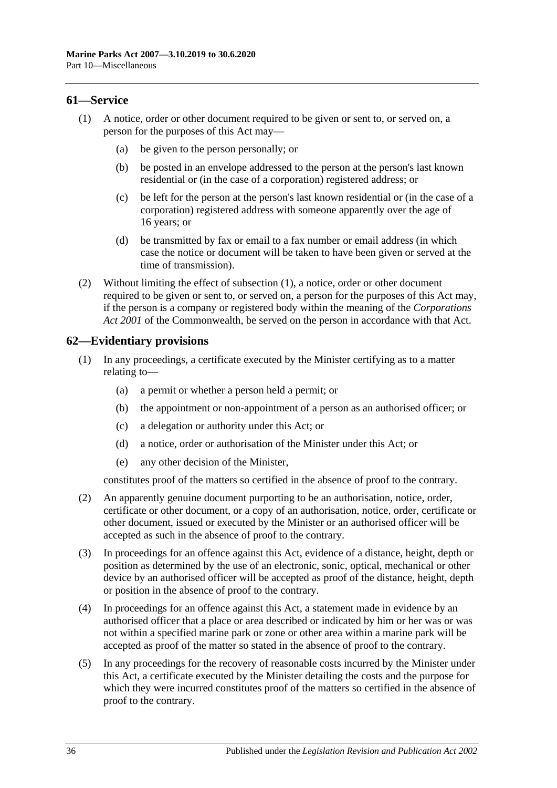#### <span id="page-35-2"></span><span id="page-35-0"></span>**61—Service**

- (1) A notice, order or other document required to be given or sent to, or served on, a person for the purposes of this Act may—
	- (a) be given to the person personally; or
	- (b) be posted in an envelope addressed to the person at the person's last known residential or (in the case of a corporation) registered address; or
	- (c) be left for the person at the person's last known residential or (in the case of a corporation) registered address with someone apparently over the age of 16 years; or
	- (d) be transmitted by fax or email to a fax number or email address (in which case the notice or document will be taken to have been given or served at the time of transmission).
- (2) Without limiting the effect of [subsection](#page-35-2) (1), a notice, order or other document required to be given or sent to, or served on, a person for the purposes of this Act may, if the person is a company or registered body within the meaning of the *Corporations Act 2001* of the Commonwealth, be served on the person in accordance with that Act.

#### <span id="page-35-1"></span>**62—Evidentiary provisions**

- (1) In any proceedings, a certificate executed by the Minister certifying as to a matter relating to—
	- (a) a permit or whether a person held a permit; or
	- (b) the appointment or non-appointment of a person as an authorised officer; or
	- (c) a delegation or authority under this Act; or
	- (d) a notice, order or authorisation of the Minister under this Act; or
	- (e) any other decision of the Minister,

constitutes proof of the matters so certified in the absence of proof to the contrary.

- (2) An apparently genuine document purporting to be an authorisation, notice, order, certificate or other document, or a copy of an authorisation, notice, order, certificate or other document, issued or executed by the Minister or an authorised officer will be accepted as such in the absence of proof to the contrary.
- (3) In proceedings for an offence against this Act, evidence of a distance, height, depth or position as determined by the use of an electronic, sonic, optical, mechanical or other device by an authorised officer will be accepted as proof of the distance, height, depth or position in the absence of proof to the contrary.
- (4) In proceedings for an offence against this Act, a statement made in evidence by an authorised officer that a place or area described or indicated by him or her was or was not within a specified marine park or zone or other area within a marine park will be accepted as proof of the matter so stated in the absence of proof to the contrary.
- (5) In any proceedings for the recovery of reasonable costs incurred by the Minister under this Act, a certificate executed by the Minister detailing the costs and the purpose for which they were incurred constitutes proof of the matters so certified in the absence of proof to the contrary.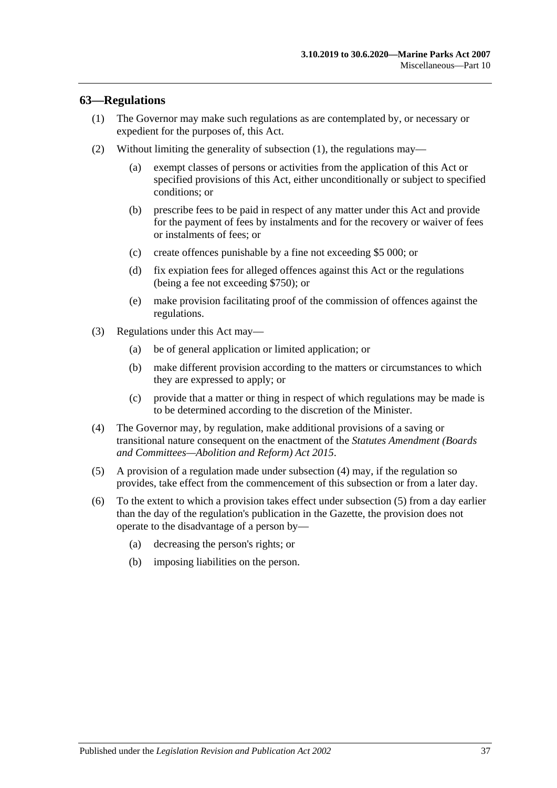#### <span id="page-36-1"></span><span id="page-36-0"></span>**63—Regulations**

- (1) The Governor may make such regulations as are contemplated by, or necessary or expedient for the purposes of, this Act.
- (2) Without limiting the generality of [subsection](#page-36-1) (1), the regulations may—
	- (a) exempt classes of persons or activities from the application of this Act or specified provisions of this Act, either unconditionally or subject to specified conditions; or
	- (b) prescribe fees to be paid in respect of any matter under this Act and provide for the payment of fees by instalments and for the recovery or waiver of fees or instalments of fees; or
	- (c) create offences punishable by a fine not exceeding \$5 000; or
	- (d) fix expiation fees for alleged offences against this Act or the regulations (being a fee not exceeding \$750); or
	- (e) make provision facilitating proof of the commission of offences against the regulations.
- (3) Regulations under this Act may—
	- (a) be of general application or limited application; or
	- (b) make different provision according to the matters or circumstances to which they are expressed to apply; or
	- (c) provide that a matter or thing in respect of which regulations may be made is to be determined according to the discretion of the Minister.
- <span id="page-36-2"></span>(4) The Governor may, by regulation, make additional provisions of a saving or transitional nature consequent on the enactment of the *[Statutes Amendment \(Boards](http://www.legislation.sa.gov.au/index.aspx?action=legref&type=act&legtitle=Statutes%20Amendment%20(Boards%20and%20Committees%E2%80%94Abolition%20and%20Reform)%20Act%202015)  [and Committees—Abolition and Reform\) Act](http://www.legislation.sa.gov.au/index.aspx?action=legref&type=act&legtitle=Statutes%20Amendment%20(Boards%20and%20Committees%E2%80%94Abolition%20and%20Reform)%20Act%202015) 2015*.
- <span id="page-36-3"></span>(5) A provision of a regulation made under [subsection](#page-36-2) (4) may, if the regulation so provides, take effect from the commencement of this subsection or from a later day.
- (6) To the extent to which a provision takes effect under [subsection](#page-36-3) (5) from a day earlier than the day of the regulation's publication in the Gazette, the provision does not operate to the disadvantage of a person by—
	- (a) decreasing the person's rights; or
	- (b) imposing liabilities on the person.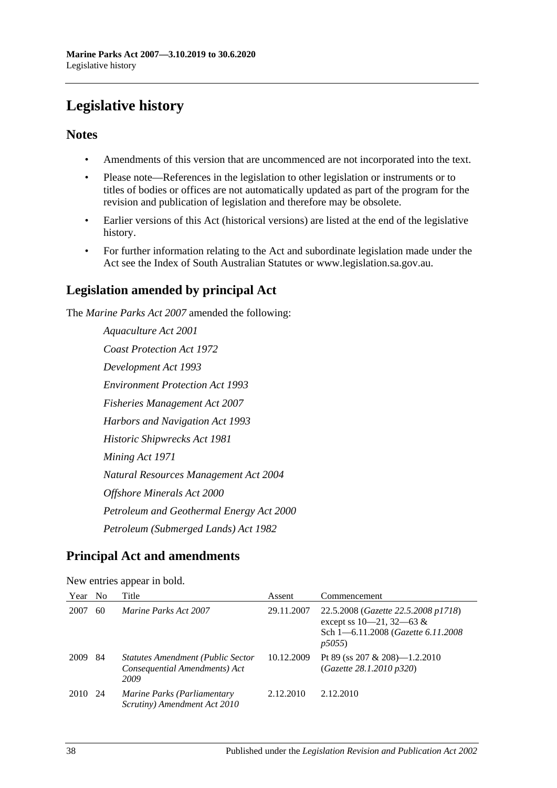# <span id="page-37-0"></span>**Legislative history**

#### **Notes**

- Amendments of this version that are uncommenced are not incorporated into the text.
- Please note—References in the legislation to other legislation or instruments or to titles of bodies or offices are not automatically updated as part of the program for the revision and publication of legislation and therefore may be obsolete.
- Earlier versions of this Act (historical versions) are listed at the end of the legislative history.
- For further information relating to the Act and subordinate legislation made under the Act see the Index of South Australian Statutes or www.legislation.sa.gov.au.

### **Legislation amended by principal Act**

The *Marine Parks Act 2007* amended the following:

*Aquaculture Act 2001 Coast Protection Act 1972 Development Act 1993 Environment Protection Act 1993 Fisheries Management Act 2007 Harbors and Navigation Act 1993 Historic Shipwrecks Act 1981 Mining Act 1971 Natural Resources Management Act 2004 Offshore Minerals Act 2000 Petroleum and Geothermal Energy Act 2000 Petroleum (Submerged Lands) Act 1982*

## **Principal Act and amendments**

| Year | N <sub>o</sub> | Title                                                                             | Assent     | Commencement                                                                                                         |  |  |
|------|----------------|-----------------------------------------------------------------------------------|------------|----------------------------------------------------------------------------------------------------------------------|--|--|
| 2007 | 60             | <i>Marine Parks Act 2007</i>                                                      | 29.11.2007 | 22.5.2008 (Gazette 22.5.2008 p1718)<br>except ss $10-21$ , $32-63$ &<br>Sch 1-6.11.2008 (Gazette 6.11.2008)<br>p5055 |  |  |
| 2009 | 84             | <b>Statutes Amendment (Public Sector</b><br>Consequential Amendments) Act<br>2009 | 10.12.2009 | Pt 89 (ss 207 & 208)—1.2.2010<br>(Gazette 28.1.2010 p320)                                                            |  |  |
| 2010 | -24            | Marine Parks (Parliamentary<br>Scrutiny) Amendment Act 2010                       | 2.12.2010  | 2.12.2010                                                                                                            |  |  |

New entries appear in bold.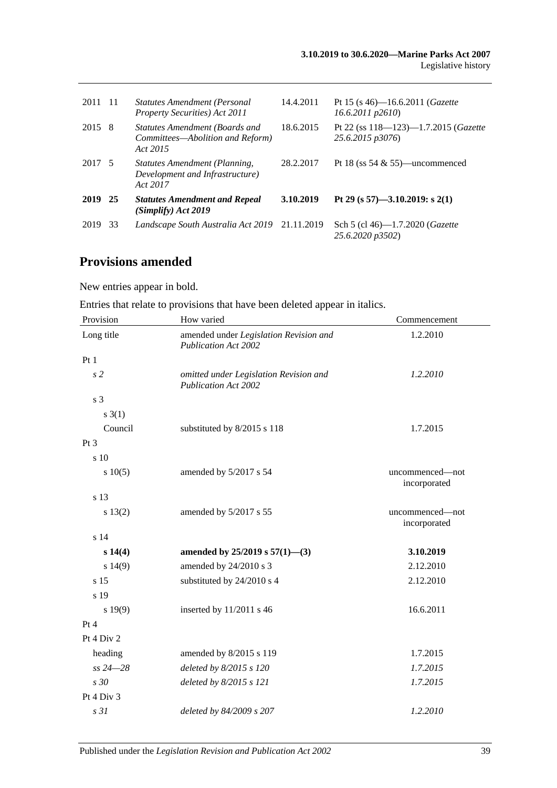| 2011   | - 11 | <b>Statutes Amendment (Personal</b><br><b>Property Securities</b> ) Act 2011   | 14.4.2011 | Pt 15 (s 46)—16.6.2011 ( <i>Gazette</i><br>$16.6.2011$ $p2610$ |
|--------|------|--------------------------------------------------------------------------------|-----------|----------------------------------------------------------------|
| 2015 8 |      | Statutes Amendment (Boards and<br>Committees—Abolition and Reform)<br>Act 2015 | 18.6.2015 | Pt 22 (ss $118 - 123 - 1.7.2015$ (Gazette<br>25.6.2015 p3076)  |
| 2017 5 |      | Statutes Amendment (Planning,<br>Development and Infrastructure)<br>Act 2017   | 28.2.2017 | Pt 18 (ss $54 \& 55$ )—uncommenced                             |
| 2019   | - 25 | <b>Statutes Amendment and Repeal</b><br>(Simplify) Act 2019                    | 3.10.2019 | Pt 29 (s 57)-3.10.2019: s 2(1)                                 |
| 2019   | 33   | Landscape South Australia Act 2019 21.11.2019                                  |           | Sch 5 (cl 46)-1.7.2020 (Gazette<br>25.6.2020 p3502)            |

## **Provisions amended**

New entries appear in bold.

| Entries that relate to provisions that have been deleted appear in italics. |
|-----------------------------------------------------------------------------|
|-----------------------------------------------------------------------------|

| Provision      | How varied                                                            | Commencement                    |
|----------------|-----------------------------------------------------------------------|---------------------------------|
| Long title     | amended under Legislation Revision and<br><b>Publication Act 2002</b> | 1.2.2010                        |
| Pt1            |                                                                       |                                 |
| s <sub>2</sub> | omitted under Legislation Revision and<br><b>Publication Act 2002</b> | 1.2.2010                        |
| s 3            |                                                                       |                                 |
| $s \; 3(1)$    |                                                                       |                                 |
| Council        | substituted by 8/2015 s 118                                           | 1.7.2015                        |
| Pt 3           |                                                                       |                                 |
| s 10           |                                                                       |                                 |
| s 10(5)        | amended by 5/2017 s 54                                                | uncommenced—not<br>incorporated |
| s 13           |                                                                       |                                 |
| s 13(2)        | amended by 5/2017 s 55                                                | uncommenced-not<br>incorporated |
| s 14           |                                                                       |                                 |
| s 14(4)        | amended by $25/2019$ s $57(1)$ —(3)                                   | 3.10.2019                       |
| s 14(9)        | amended by 24/2010 s 3                                                | 2.12.2010                       |
| s 15           | substituted by 24/2010 s 4                                            | 2.12.2010                       |
| s 19           |                                                                       |                                 |
| s 19(9)        | inserted by $11/2011$ s 46                                            | 16.6.2011                       |
| Pt 4           |                                                                       |                                 |
| Pt 4 Div 2     |                                                                       |                                 |
| heading        | amended by 8/2015 s 119                                               | 1.7.2015                        |
| $ss 24 - 28$   | deleted by 8/2015 s 120                                               | 1.7.2015                        |
| s 30           | deleted by 8/2015 s 121                                               | 1.7.2015                        |
| Pt 4 Div 3     |                                                                       |                                 |
| s31            | deleted by 84/2009 s 207                                              | 1.2.2010                        |